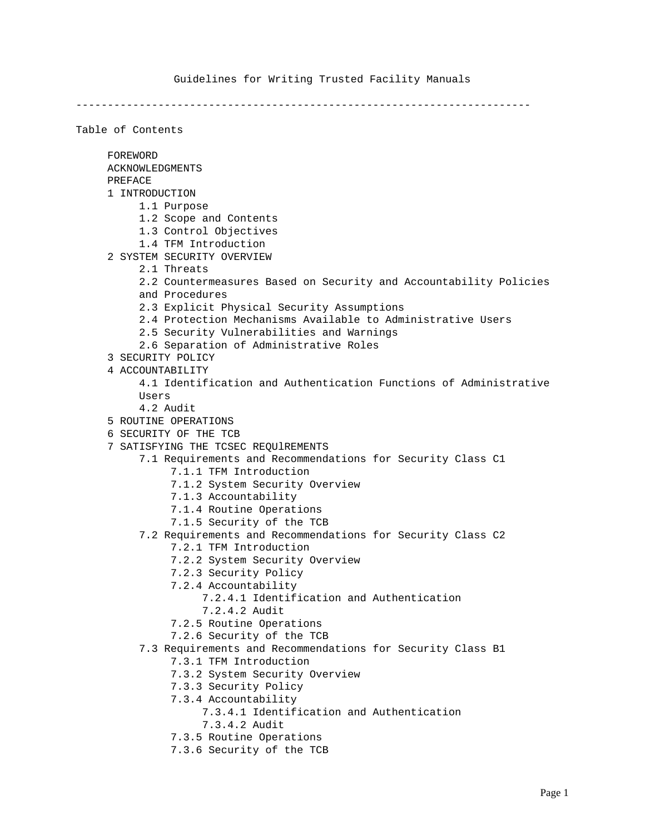# Guidelines for Writing Trusted Facility Manuals

------------------------------------------------------------------------

| Table of Contents                                                 |
|-------------------------------------------------------------------|
| FOREWORD                                                          |
| <b>ACKNOWLEDGMENTS</b>                                            |
| PREFACE                                                           |
| 1 INTRODUCTION                                                    |
| 1.1 Purpose                                                       |
| 1.2 Scope and Contents                                            |
| 1.3 Control Objectives                                            |
| 1.4 TFM Introduction                                              |
| 2 SYSTEM SECURITY OVERVIEW                                        |
| 2.1 Threats                                                       |
| 2.2 Countermeasures Based on Security and Accountability Policies |
| and Procedures                                                    |
| 2.3 Explicit Physical Security Assumptions                        |
| 2.4 Protection Mechanisms Available to Administrative Users       |
| 2.5 Security Vulnerabilities and Warnings                         |
| 2.6 Separation of Administrative Roles<br>3 SECURITY POLICY       |
| 4 ACCOUNTABILITY                                                  |
| 4.1 Identification and Authentication Functions of Administrative |
| Users                                                             |
| 4.2 Audit                                                         |
| 5 ROUTINE OPERATIONS                                              |
| 6 SECURITY OF THE TCB                                             |
| 7 SATISFYING THE TCSEC REQUIREMENTS                               |
| 7.1 Requirements and Recommendations for Security Class C1        |
| 7.1.1 TFM Introduction                                            |
| 7.1.2 System Security Overview                                    |
| 7.1.3 Accountability                                              |
| 7.1.4 Routine Operations                                          |
| 7.1.5 Security of the TCB                                         |
| 7.2 Requirements and Recommendations for Security Class C2        |
| 7.2.1 TFM Introduction                                            |
| 7.2.2 System Security Overview                                    |
| 7.2.3 Security Policy                                             |
| 7.2.4 Accountability<br>7.2.4.1 Identification and Authentication |
| 7.2.4.2 Audit                                                     |
| 7.2.5 Routine Operations                                          |
| 7.2.6 Security of the TCB                                         |
| 7.3 Requirements and Recommendations for Security Class B1        |
| 7.3.1 TFM Introduction                                            |
| 7.3.2 System Security Overview                                    |
| 7.3.3 Security Policy                                             |
| 7.3.4 Accountability                                              |
| 7.3.4.1 Identification and Authentication                         |
| 7.3.4.2 Audit                                                     |
| 7.3.5 Routine Operations                                          |
| 7.3.6 Security of the TCB                                         |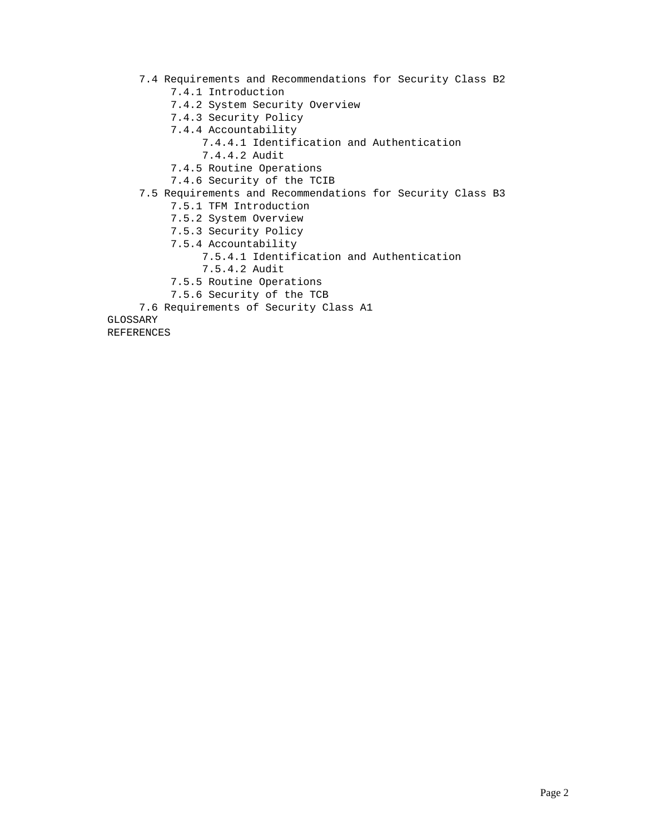7.4 Requirements and Recommendations for Security Class B2 7.4.1 Introduction 7.4.2 System Security Overview 7.4.3 Security Policy 7.4.4 Accountability 7.4.4.1 Identification and Authentication 7.4.4.2 Audit 7.4.5 Routine Operations 7.4.6 Security of the TCIB 7.5 Requirements and Recommendations for Security Class B3 7.5.1 TFM Introduction 7.5.2 System Overview 7.5.3 Security Policy 7.5.4 Accountability 7.5.4.1 Identification and Authentication 7.5.4.2 Audit 7.5.5 Routine Operations 7.5.6 Security of the TCB 7.6 Requirements of Security Class A1 GLOSSARY

REFERENCES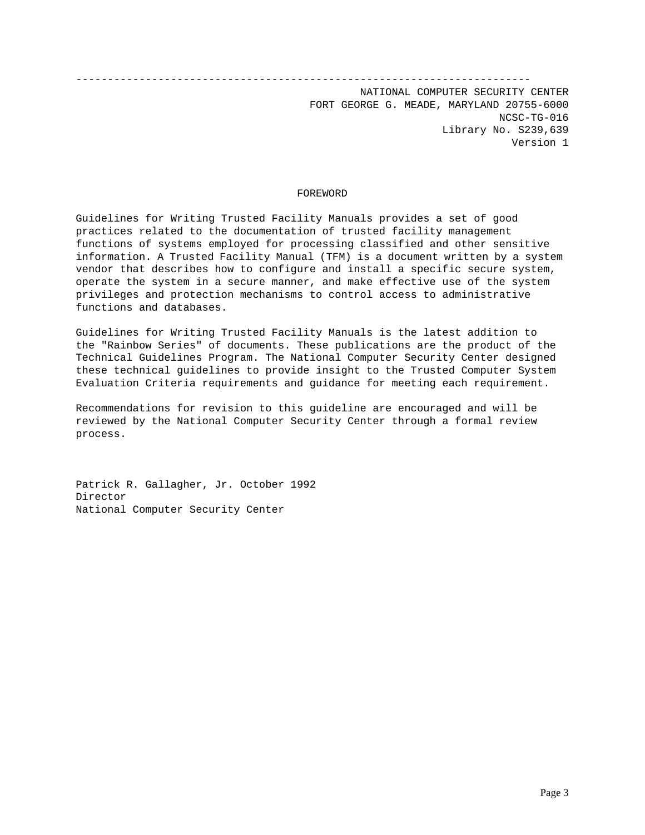#### ------------------------------------------------------------------------

NATIONAL COMPUTER SECURITY CENTER FORT GEORGE G. MEADE, MARYLAND 20755-6000 NCSC-TG-016 Library No. S239,639 Version 1

#### FOREWORD

Guidelines for Writing Trusted Facility Manuals provides a set of good practices related to the documentation of trusted facility management functions of systems employed for processing classified and other sensitive information. A Trusted Facility Manual (TFM) is a document written by a system vendor that describes how to configure and install a specific secure system, operate the system in a secure manner, and make effective use of the system privileges and protection mechanisms to control access to administrative functions and databases.

Guidelines for Writing Trusted Facility Manuals is the latest addition to the "Rainbow Series" of documents. These publications are the product of the Technical Guidelines Program. The National Computer Security Center designed these technical guidelines to provide insight to the Trusted Computer System Evaluation Criteria requirements and guidance for meeting each requirement.

Recommendations for revision to this guideline are encouraged and will be reviewed by the National Computer Security Center through a formal review process.

Patrick R. Gallagher, Jr. October 1992 Director National Computer Security Center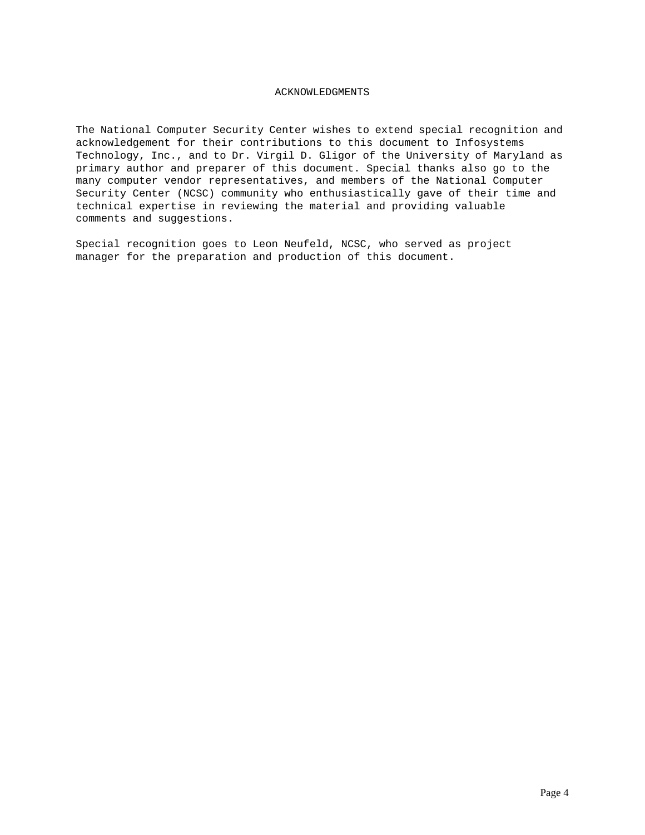## ACKNOWLEDGMENTS

The National Computer Security Center wishes to extend special recognition and acknowledgement for their contributions to this document to Infosystems Technology, Inc., and to Dr. Virgil D. Gligor of the University of Maryland as primary author and preparer of this document. Special thanks also go to the many computer vendor representatives, and members of the National Computer Security Center (NCSC) community who enthusiastically gave of their time and technical expertise in reviewing the material and providing valuable comments and suggestions.

Special recognition goes to Leon Neufeld, NCSC, who served as project manager for the preparation and production of this document.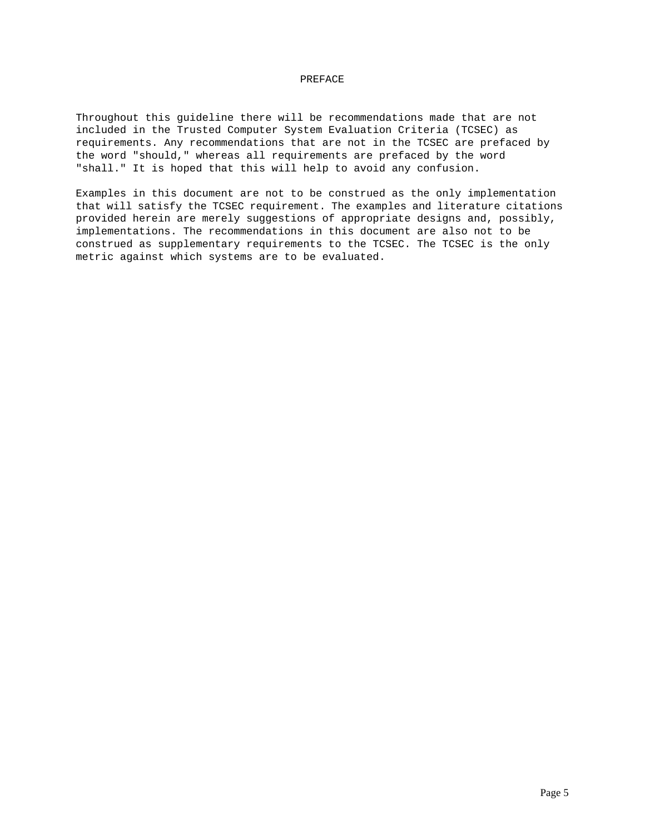### PREFACE

Throughout this guideline there will be recommendations made that are not included in the Trusted Computer System Evaluation Criteria (TCSEC) as requirements. Any recommendations that are not in the TCSEC are prefaced by the word "should," whereas all requirements are prefaced by the word "shall." It is hoped that this will help to avoid any confusion.

Examples in this document are not to be construed as the only implementation that will satisfy the TCSEC requirement. The examples and literature citations provided herein are merely suggestions of appropriate designs and, possibly, implementations. The recommendations in this document are also not to be construed as supplementary requirements to the TCSEC. The TCSEC is the only metric against which systems are to be evaluated.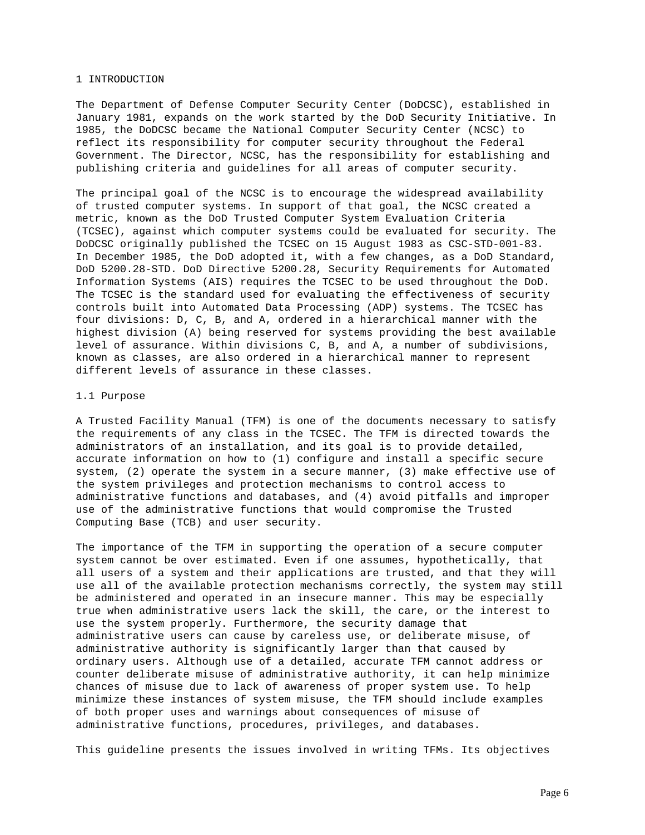#### 1 INTRODUCTION

The Department of Defense Computer Security Center (DoDCSC), established in January 1981, expands on the work started by the DoD Security Initiative. In 1985, the DoDCSC became the National Computer Security Center (NCSC) to reflect its responsibility for computer security throughout the Federal Government. The Director, NCSC, has the responsibility for establishing and publishing criteria and guidelines for all areas of computer security.

The principal goal of the NCSC is to encourage the widespread availability of trusted computer systems. In support of that goal, the NCSC created a metric, known as the DoD Trusted Computer System Evaluation Criteria (TCSEC), against which computer systems could be evaluated for security. The DoDCSC originally published the TCSEC on 15 August 1983 as CSC-STD-001-83. In December 1985, the DoD adopted it, with a few changes, as a DoD Standard, DoD 5200.28-STD. DoD Directive 5200.28, Security Requirements for Automated Information Systems (AIS) requires the TCSEC to be used throughout the DoD. The TCSEC is the standard used for evaluating the effectiveness of security controls built into Automated Data Processing (ADP) systems. The TCSEC has four divisions: D, C, B, and A, ordered in a hierarchical manner with the highest division (A) being reserved for systems providing the best available level of assurance. Within divisions C, B, and A, a number of subdivisions, known as classes, are also ordered in a hierarchical manner to represent different levels of assurance in these classes.

#### 1.1 Purpose

A Trusted Facility Manual (TFM) is one of the documents necessary to satisfy the requirements of any class in the TCSEC. The TFM is directed towards the administrators of an installation, and its goal is to provide detailed, accurate information on how to (1) configure and install a specific secure system, (2) operate the system in a secure manner, (3) make effective use of the system privileges and protection mechanisms to control access to administrative functions and databases, and (4) avoid pitfalls and improper use of the administrative functions that would compromise the Trusted Computing Base (TCB) and user security.

The importance of the TFM in supporting the operation of a secure computer system cannot be over estimated. Even if one assumes, hypothetically, that all users of a system and their applications are trusted, and that they will use all of the available protection mechanisms correctly, the system may still be administered and operated in an insecure manner. This may be especially true when administrative users lack the skill, the care, or the interest to use the system properly. Furthermore, the security damage that administrative users can cause by careless use, or deliberate misuse, of administrative authority is significantly larger than that caused by ordinary users. Although use of a detailed, accurate TFM cannot address or counter deliberate misuse of administrative authority, it can help minimize chances of misuse due to lack of awareness of proper system use. To help minimize these instances of system misuse, the TFM should include examples of both proper uses and warnings about consequences of misuse of administrative functions, procedures, privileges, and databases.

This guideline presents the issues involved in writing TFMs. Its objectives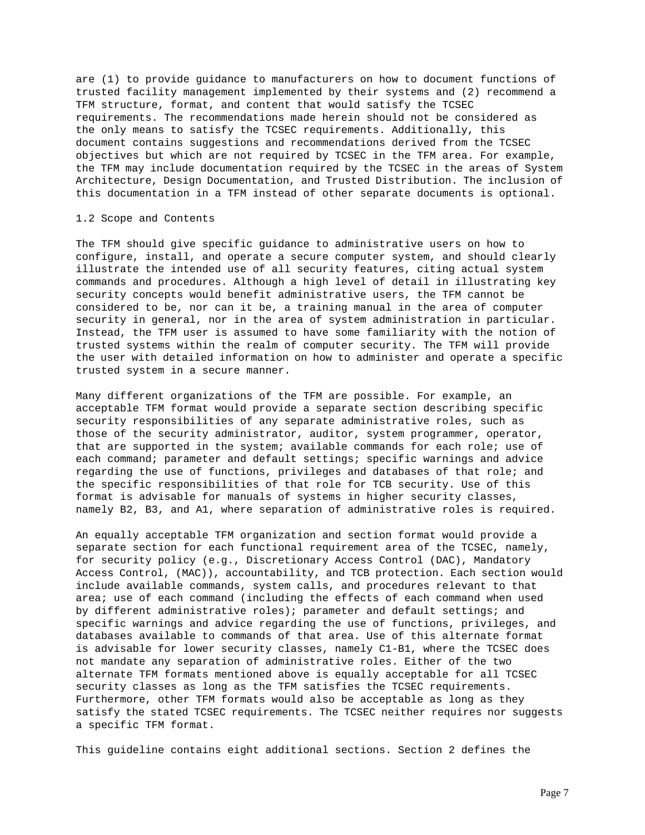are (1) to provide guidance to manufacturers on how to document functions of trusted facility management implemented by their systems and (2) recommend a TFM structure, format, and content that would satisfy the TCSEC requirements. The recommendations made herein should not be considered as the only means to satisfy the TCSEC requirements. Additionally, this document contains suggestions and recommendations derived from the TCSEC objectives but which are not required by TCSEC in the TFM area. For example, the TFM may include documentation required by the TCSEC in the areas of System Architecture, Design Documentation, and Trusted Distribution. The inclusion of this documentation in a TFM instead of other separate documents is optional.

### 1.2 Scope and Contents

The TFM should give specific guidance to administrative users on how to configure, install, and operate a secure computer system, and should clearly illustrate the intended use of all security features, citing actual system commands and procedures. Although a high level of detail in illustrating key security concepts would benefit administrative users, the TFM cannot be considered to be, nor can it be, a training manual in the area of computer security in general, nor in the area of system administration in particular. Instead, the TFM user is assumed to have some familiarity with the notion of trusted systems within the realm of computer security. The TFM will provide the user with detailed information on how to administer and operate a specific trusted system in a secure manner.

Many different organizations of the TFM are possible. For example, an acceptable TFM format would provide a separate section describing specific security responsibilities of any separate administrative roles, such as those of the security administrator, auditor, system programmer, operator, that are supported in the system; available commands for each role; use of each command; parameter and default settings; specific warnings and advice regarding the use of functions, privileges and databases of that role; and the specific responsibilities of that role for TCB security. Use of this format is advisable for manuals of systems in higher security classes, namely B2, B3, and A1, where separation of administrative roles is required.

An equally acceptable TFM organization and section format would provide a separate section for each functional requirement area of the TCSEC, namely, for security policy (e.g., Discretionary Access Control (DAC), Mandatory Access Control, (MAC)), accountability, and TCB protection. Each section would include available commands, system calls, and procedures relevant to that area; use of each command (including the effects of each command when used by different administrative roles); parameter and default settings; and specific warnings and advice regarding the use of functions, privileges, and databases available to commands of that area. Use of this alternate format is advisable for lower security classes, namely C1-B1, where the TCSEC does not mandate any separation of administrative roles. Either of the two alternate TFM formats mentioned above is equally acceptable for all TCSEC security classes as long as the TFM satisfies the TCSEC requirements. Furthermore, other TFM formats would also be acceptable as long as they satisfy the stated TCSEC requirements. The TCSEC neither requires nor suggests a specific TFM format.

This guideline contains eight additional sections. Section 2 defines the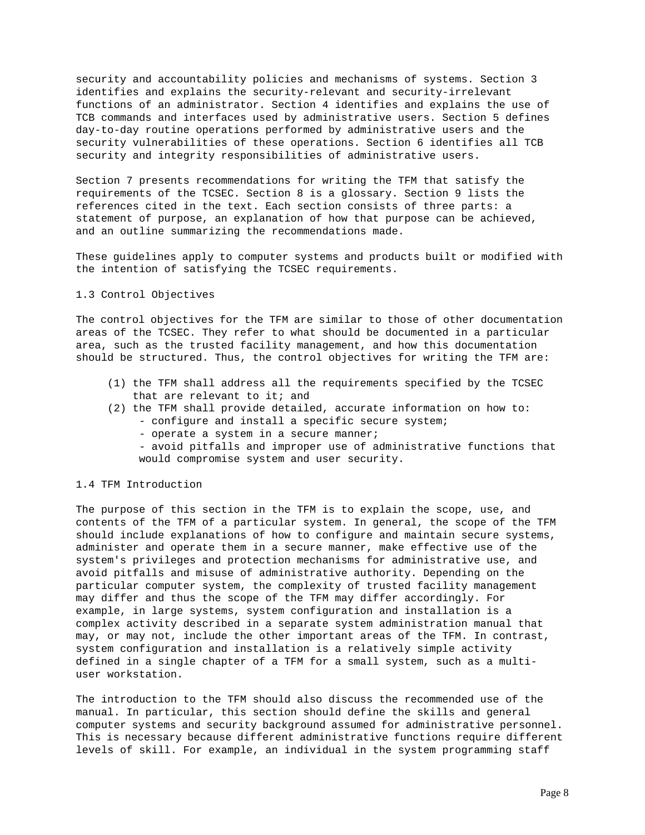security and accountability policies and mechanisms of systems. Section 3 identifies and explains the security-relevant and security-irrelevant functions of an administrator. Section 4 identifies and explains the use of TCB commands and interfaces used by administrative users. Section 5 defines day-to-day routine operations performed by administrative users and the security vulnerabilities of these operations. Section 6 identifies all TCB security and integrity responsibilities of administrative users.

Section 7 presents recommendations for writing the TFM that satisfy the requirements of the TCSEC. Section 8 is a glossary. Section 9 lists the references cited in the text. Each section consists of three parts: a statement of purpose, an explanation of how that purpose can be achieved, and an outline summarizing the recommendations made.

These guidelines apply to computer systems and products built or modified with the intention of satisfying the TCSEC requirements.

## 1.3 Control Objectives

The control objectives for the TFM are similar to those of other documentation areas of the TCSEC. They refer to what should be documented in a particular area, such as the trusted facility management, and how this documentation should be structured. Thus, the control objectives for writing the TFM are:

- (1) the TFM shall address all the requirements specified by the TCSEC that are relevant to it; and
- (2) the TFM shall provide detailed, accurate information on how to:
	- configure and install a specific secure system;
	- operate a system in a secure manner;
	- avoid pitfalls and improper use of administrative functions that would compromise system and user security.

#### 1.4 TFM Introduction

The purpose of this section in the TFM is to explain the scope, use, and contents of the TFM of a particular system. In general, the scope of the TFM should include explanations of how to configure and maintain secure systems, administer and operate them in a secure manner, make effective use of the system's privileges and protection mechanisms for administrative use, and avoid pitfalls and misuse of administrative authority. Depending on the particular computer system, the complexity of trusted facility management may differ and thus the scope of the TFM may differ accordingly. For example, in large systems, system configuration and installation is a complex activity described in a separate system administration manual that may, or may not, include the other important areas of the TFM. In contrast, system configuration and installation is a relatively simple activity defined in a single chapter of a TFM for a small system, such as a multiuser workstation.

The introduction to the TFM should also discuss the recommended use of the manual. In particular, this section should define the skills and general computer systems and security background assumed for administrative personnel. This is necessary because different administrative functions require different levels of skill. For example, an individual in the system programming staff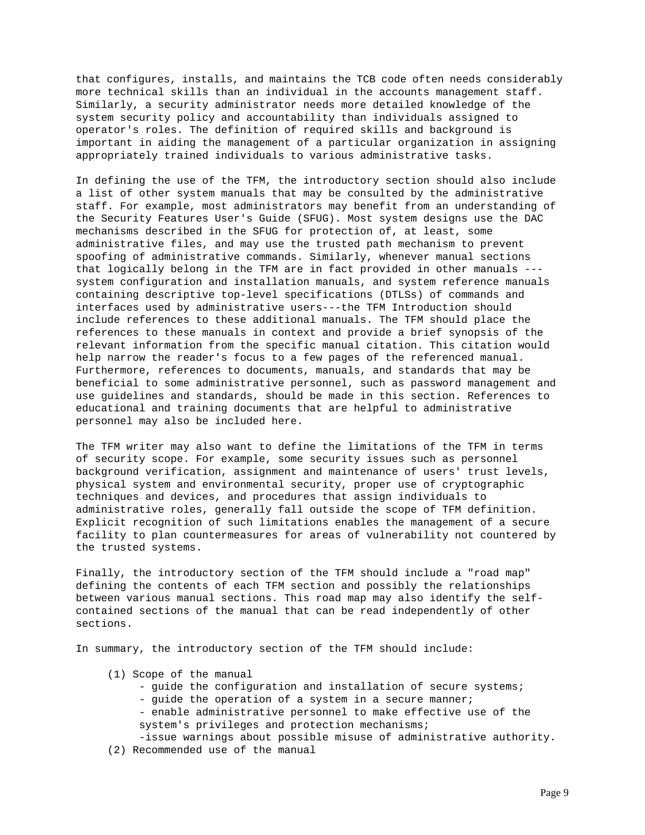that configures, installs, and maintains the TCB code often needs considerably more technical skills than an individual in the accounts management staff. Similarly, a security administrator needs more detailed knowledge of the system security policy and accountability than individuals assigned to operator's roles. The definition of required skills and background is important in aiding the management of a particular organization in assigning appropriately trained individuals to various administrative tasks.

In defining the use of the TFM, the introductory section should also include a list of other system manuals that may be consulted by the administrative staff. For example, most administrators may benefit from an understanding of the Security Features User's Guide (SFUG). Most system designs use the DAC mechanisms described in the SFUG for protection of, at least, some administrative files, and may use the trusted path mechanism to prevent spoofing of administrative commands. Similarly, whenever manual sections that logically belong in the TFM are in fact provided in other manuals -- system configuration and installation manuals, and system reference manuals containing descriptive top-level specifications (DTLSs) of commands and interfaces used by administrative users---the TFM Introduction should include references to these additional manuals. The TFM should place the references to these manuals in context and provide a brief synopsis of the relevant information from the specific manual citation. This citation would help narrow the reader's focus to a few pages of the referenced manual. Furthermore, references to documents, manuals, and standards that may be beneficial to some administrative personnel, such as password management and use guidelines and standards, should be made in this section. References to educational and training documents that are helpful to administrative personnel may also be included here.

The TFM writer may also want to define the limitations of the TFM in terms of security scope. For example, some security issues such as personnel background verification, assignment and maintenance of users' trust levels, physical system and environmental security, proper use of cryptographic techniques and devices, and procedures that assign individuals to administrative roles, generally fall outside the scope of TFM definition. Explicit recognition of such limitations enables the management of a secure facility to plan countermeasures for areas of vulnerability not countered by the trusted systems.

Finally, the introductory section of the TFM should include a "road map" defining the contents of each TFM section and possibly the relationships between various manual sections. This road map may also identify the selfcontained sections of the manual that can be read independently of other sections.

In summary, the introductory section of the TFM should include:

- (1) Scope of the manual
	- guide the configuration and installation of secure systems; - guide the operation of a system in a secure manner; - enable administrative personnel to make effective use of the system's privileges and protection mechanisms;
	- -issue warnings about possible misuse of administrative authority.
- (2) Recommended use of the manual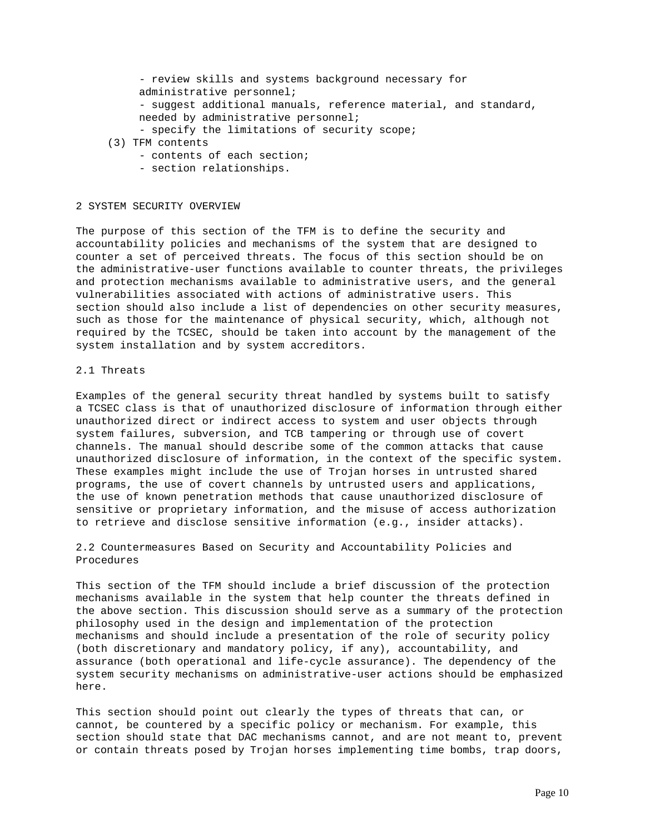```
 - review skills and systems background necessary for
     administrative personnel;
     - suggest additional manuals, reference material, and standard,
    needed by administrative personnel;
     - specify the limitations of security scope;
(3) TFM contents
```
- contents of each section;
- section relationships.

#### 2 SYSTEM SECURITY OVERVIEW

The purpose of this section of the TFM is to define the security and accountability policies and mechanisms of the system that are designed to counter a set of perceived threats. The focus of this section should be on the administrative-user functions available to counter threats, the privileges and protection mechanisms available to administrative users, and the general vulnerabilities associated with actions of administrative users. This section should also include a list of dependencies on other security measures, such as those for the maintenance of physical security, which, although not required by the TCSEC, should be taken into account by the management of the system installation and by system accreditors.

### 2.1 Threats

Examples of the general security threat handled by systems built to satisfy a TCSEC class is that of unauthorized disclosure of information through either unauthorized direct or indirect access to system and user objects through system failures, subversion, and TCB tampering or through use of covert channels. The manual should describe some of the common attacks that cause unauthorized disclosure of information, in the context of the specific system. These examples might include the use of Trojan horses in untrusted shared programs, the use of covert channels by untrusted users and applications, the use of known penetration methods that cause unauthorized disclosure of sensitive or proprietary information, and the misuse of access authorization to retrieve and disclose sensitive information (e.g., insider attacks).

2.2 Countermeasures Based on Security and Accountability Policies and Procedures

This section of the TFM should include a brief discussion of the protection mechanisms available in the system that help counter the threats defined in the above section. This discussion should serve as a summary of the protection philosophy used in the design and implementation of the protection mechanisms and should include a presentation of the role of security policy (both discretionary and mandatory policy, if any), accountability, and assurance (both operational and life-cycle assurance). The dependency of the system security mechanisms on administrative-user actions should be emphasized here.

This section should point out clearly the types of threats that can, or cannot, be countered by a specific policy or mechanism. For example, this section should state that DAC mechanisms cannot, and are not meant to, prevent or contain threats posed by Trojan horses implementing time bombs, trap doors,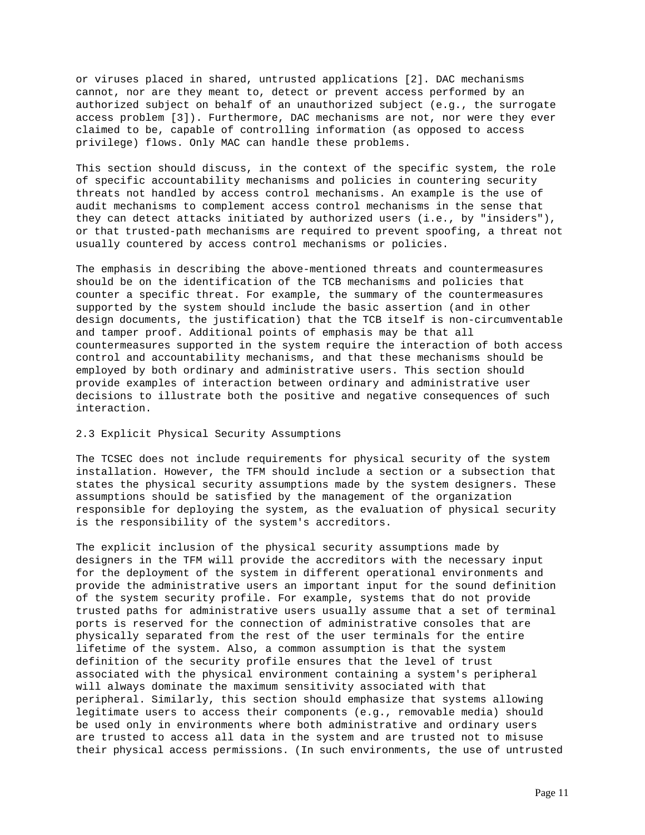or viruses placed in shared, untrusted applications [2]. DAC mechanisms cannot, nor are they meant to, detect or prevent access performed by an authorized subject on behalf of an unauthorized subject (e.g., the surrogate access problem [3]). Furthermore, DAC mechanisms are not, nor were they ever claimed to be, capable of controlling information (as opposed to access privilege) flows. Only MAC can handle these problems.

This section should discuss, in the context of the specific system, the role of specific accountability mechanisms and policies in countering security threats not handled by access control mechanisms. An example is the use of audit mechanisms to complement access control mechanisms in the sense that they can detect attacks initiated by authorized users (i.e., by "insiders"), or that trusted-path mechanisms are required to prevent spoofing, a threat not usually countered by access control mechanisms or policies.

The emphasis in describing the above-mentioned threats and countermeasures should be on the identification of the TCB mechanisms and policies that counter a specific threat. For example, the summary of the countermeasures supported by the system should include the basic assertion (and in other design documents, the justification) that the TCB itself is non-circumventable and tamper proof. Additional points of emphasis may be that all countermeasures supported in the system require the interaction of both access control and accountability mechanisms, and that these mechanisms should be employed by both ordinary and administrative users. This section should provide examples of interaction between ordinary and administrative user decisions to illustrate both the positive and negative consequences of such interaction.

## 2.3 Explicit Physical Security Assumptions

The TCSEC does not include requirements for physical security of the system installation. However, the TFM should include a section or a subsection that states the physical security assumptions made by the system designers. These assumptions should be satisfied by the management of the organization responsible for deploying the system, as the evaluation of physical security is the responsibility of the system's accreditors.

The explicit inclusion of the physical security assumptions made by designers in the TFM will provide the accreditors with the necessary input for the deployment of the system in different operational environments and provide the administrative users an important input for the sound definition of the system security profile. For example, systems that do not provide trusted paths for administrative users usually assume that a set of terminal ports is reserved for the connection of administrative consoles that are physically separated from the rest of the user terminals for the entire lifetime of the system. Also, a common assumption is that the system definition of the security profile ensures that the level of trust associated with the physical environment containing a system's peripheral will always dominate the maximum sensitivity associated with that peripheral. Similarly, this section should emphasize that systems allowing legitimate users to access their components (e.g., removable media) should be used only in environments where both administrative and ordinary users are trusted to access all data in the system and are trusted not to misuse their physical access permissions. (In such environments, the use of untrusted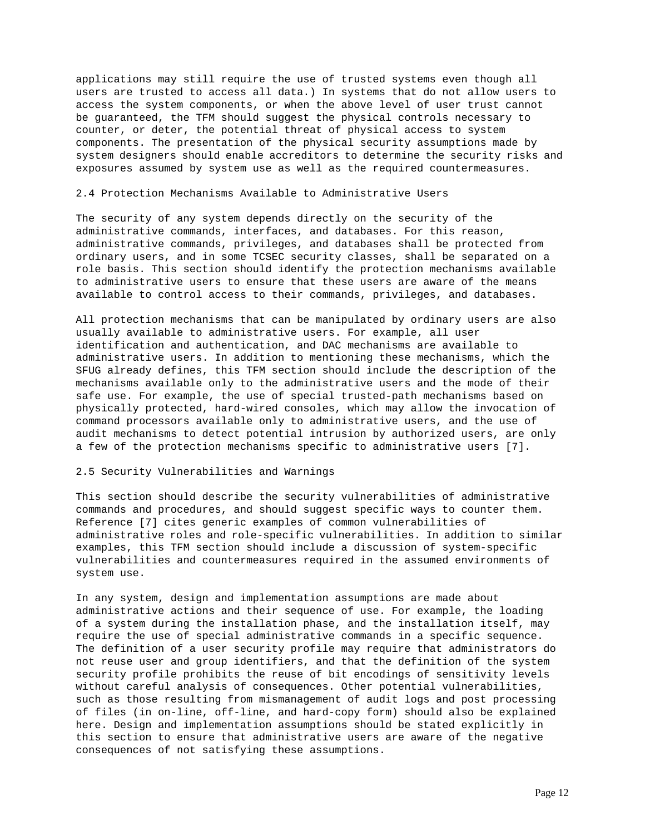applications may still require the use of trusted systems even though all users are trusted to access all data.) In systems that do not allow users to access the system components, or when the above level of user trust cannot be guaranteed, the TFM should suggest the physical controls necessary to counter, or deter, the potential threat of physical access to system components. The presentation of the physical security assumptions made by system designers should enable accreditors to determine the security risks and exposures assumed by system use as well as the required countermeasures.

### 2.4 Protection Mechanisms Available to Administrative Users

The security of any system depends directly on the security of the administrative commands, interfaces, and databases. For this reason, administrative commands, privileges, and databases shall be protected from ordinary users, and in some TCSEC security classes, shall be separated on a role basis. This section should identify the protection mechanisms available to administrative users to ensure that these users are aware of the means available to control access to their commands, privileges, and databases.

All protection mechanisms that can be manipulated by ordinary users are also usually available to administrative users. For example, all user identification and authentication, and DAC mechanisms are available to administrative users. In addition to mentioning these mechanisms, which the SFUG already defines, this TFM section should include the description of the mechanisms available only to the administrative users and the mode of their safe use. For example, the use of special trusted-path mechanisms based on physically protected, hard-wired consoles, which may allow the invocation of command processors available only to administrative users, and the use of audit mechanisms to detect potential intrusion by authorized users, are only a few of the protection mechanisms specific to administrative users [7].

### 2.5 Security Vulnerabilities and Warnings

This section should describe the security vulnerabilities of administrative commands and procedures, and should suggest specific ways to counter them. Reference [7] cites generic examples of common vulnerabilities of administrative roles and role-specific vulnerabilities. In addition to similar examples, this TFM section should include a discussion of system-specific vulnerabilities and countermeasures required in the assumed environments of system use.

In any system, design and implementation assumptions are made about administrative actions and their sequence of use. For example, the loading of a system during the installation phase, and the installation itself, may require the use of special administrative commands in a specific sequence. The definition of a user security profile may require that administrators do not reuse user and group identifiers, and that the definition of the system security profile prohibits the reuse of bit encodings of sensitivity levels without careful analysis of consequences. Other potential vulnerabilities, such as those resulting from mismanagement of audit logs and post processing of files (in on-line, off-line, and hard-copy form) should also be explained here. Design and implementation assumptions should be stated explicitly in this section to ensure that administrative users are aware of the negative consequences of not satisfying these assumptions.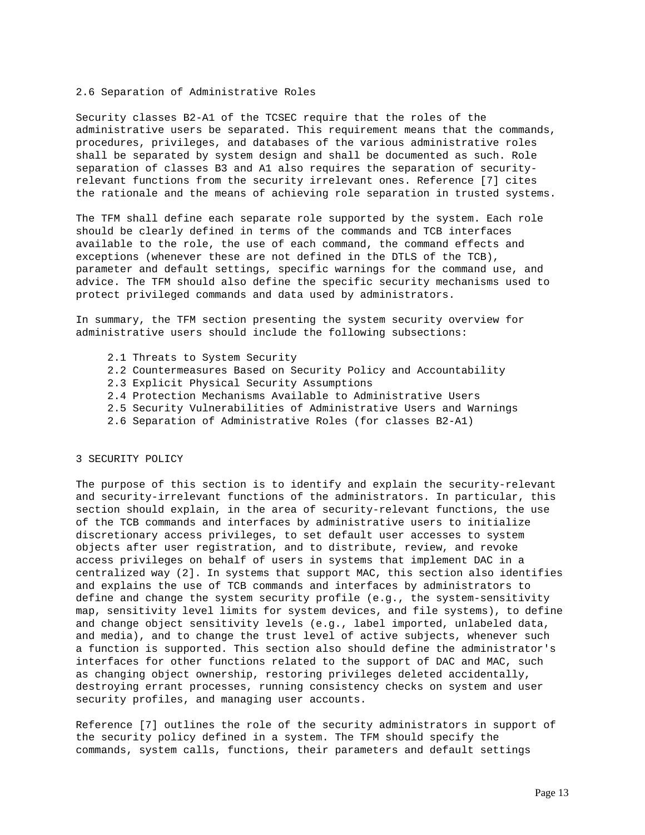#### 2.6 Separation of Administrative Roles

Security classes B2-A1 of the TCSEC require that the roles of the administrative users be separated. This requirement means that the commands, procedures, privileges, and databases of the various administrative roles shall be separated by system design and shall be documented as such. Role separation of classes B3 and A1 also requires the separation of securityrelevant functions from the security irrelevant ones. Reference [7] cites the rationale and the means of achieving role separation in trusted systems.

The TFM shall define each separate role supported by the system. Each role should be clearly defined in terms of the commands and TCB interfaces available to the role, the use of each command, the command effects and exceptions (whenever these are not defined in the DTLS of the TCB), parameter and default settings, specific warnings for the command use, and advice. The TFM should also define the specific security mechanisms used to protect privileged commands and data used by administrators.

In summary, the TFM section presenting the system security overview for administrative users should include the following subsections:

- 2.1 Threats to System Security
- 2.2 Countermeasures Based on Security Policy and Accountability
- 2.3 Explicit Physical Security Assumptions
- 2.4 Protection Mechanisms Available to Administrative Users
- 2.5 Security Vulnerabilities of Administrative Users and Warnings
- 2.6 Separation of Administrative Roles (for classes B2-A1)

### 3 SECURITY POLICY

The purpose of this section is to identify and explain the security-relevant and security-irrelevant functions of the administrators. In particular, this section should explain, in the area of security-relevant functions, the use of the TCB commands and interfaces by administrative users to initialize discretionary access privileges, to set default user accesses to system objects after user registration, and to distribute, review, and revoke access privileges on behalf of users in systems that implement DAC in a centralized way (2]. In systems that support MAC, this section also identifies and explains the use of TCB commands and interfaces by administrators to define and change the system security profile (e.g., the system-sensitivity map, sensitivity level limits for system devices, and file systems), to define and change object sensitivity levels (e.g., label imported, unlabeled data, and media), and to change the trust level of active subjects, whenever such a function is supported. This section also should define the administrator's interfaces for other functions related to the support of DAC and MAC, such as changing object ownership, restoring privileges deleted accidentally, destroying errant processes, running consistency checks on system and user security profiles, and managing user accounts.

Reference [7] outlines the role of the security administrators in support of the security policy defined in a system. The TFM should specify the commands, system calls, functions, their parameters and default settings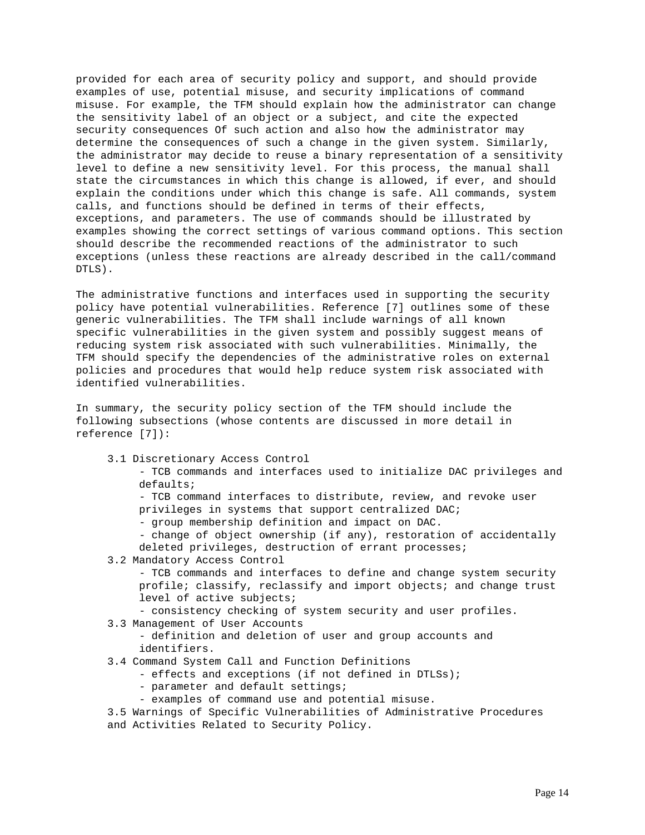provided for each area of security policy and support, and should provide examples of use, potential misuse, and security implications of command misuse. For example, the TFM should explain how the administrator can change the sensitivity label of an object or a subject, and cite the expected security consequences Of such action and also how the administrator may determine the consequences of such a change in the given system. Similarly, the administrator may decide to reuse a binary representation of a sensitivity level to define a new sensitivity level. For this process, the manual shall state the circumstances in which this change is allowed, if ever, and should explain the conditions under which this change is safe. All commands, system calls, and functions should be defined in terms of their effects, exceptions, and parameters. The use of commands should be illustrated by examples showing the correct settings of various command options. This section should describe the recommended reactions of the administrator to such exceptions (unless these reactions are already described in the call/command DTLS).

The administrative functions and interfaces used in supporting the security policy have potential vulnerabilities. Reference [7] outlines some of these generic vulnerabilities. The TFM shall include warnings of all known specific vulnerabilities in the given system and possibly suggest means of reducing system risk associated with such vulnerabilities. Minimally, the TFM should specify the dependencies of the administrative roles on external policies and procedures that would help reduce system risk associated with identified vulnerabilities.

In summary, the security policy section of the TFM should include the following subsections (whose contents are discussed in more detail in reference [7]):

3.1 Discretionary Access Control

 - TCB commands and interfaces used to initialize DAC privileges and defaults;

 - TCB command interfaces to distribute, review, and revoke user privileges in systems that support centralized DAC;

- group membership definition and impact on DAC.

 - change of object ownership (if any), restoration of accidentally deleted privileges, destruction of errant processes;

3.2 Mandatory Access Control

 - TCB commands and interfaces to define and change system security profile; classify, reclassify and import objects; and change trust level of active subjects;

- consistency checking of system security and user profiles.

3.3 Management of User Accounts

 - definition and deletion of user and group accounts and identifiers.

- 3.4 Command System Call and Function Definitions
	- effects and exceptions (if not defined in DTLSs);
	- parameter and default settings;
	- examples of command use and potential misuse.

 3.5 Warnings of Specific Vulnerabilities of Administrative Procedures and Activities Related to Security Policy.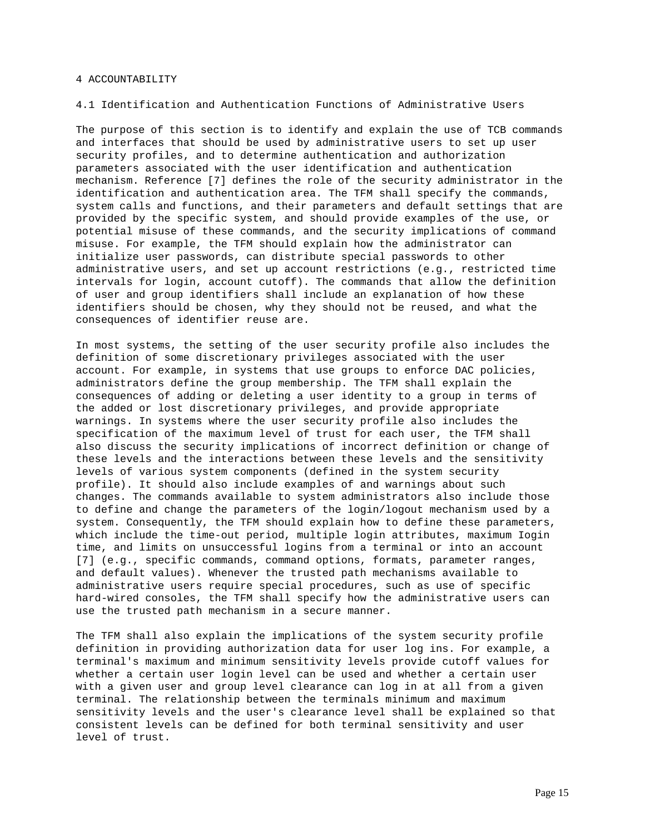#### 4 ACCOUNTABILITY

#### 4.1 Identification and Authentication Functions of Administrative Users

The purpose of this section is to identify and explain the use of TCB commands and interfaces that should be used by administrative users to set up user security profiles, and to determine authentication and authorization parameters associated with the user identification and authentication mechanism. Reference [7] defines the role of the security administrator in the identification and authentication area. The TFM shall specify the commands, system calls and functions, and their parameters and default settings that are provided by the specific system, and should provide examples of the use, or potential misuse of these commands, and the security implications of command misuse. For example, the TFM should explain how the administrator can initialize user passwords, can distribute special passwords to other administrative users, and set up account restrictions (e.g., restricted time intervals for login, account cutoff). The commands that allow the definition of user and group identifiers shall include an explanation of how these identifiers should be chosen, why they should not be reused, and what the consequences of identifier reuse are.

In most systems, the setting of the user security profile also includes the definition of some discretionary privileges associated with the user account. For example, in systems that use groups to enforce DAC policies, administrators define the group membership. The TFM shall explain the consequences of adding or deleting a user identity to a group in terms of the added or lost discretionary privileges, and provide appropriate warnings. In systems where the user security profile also includes the specification of the maximum level of trust for each user, the TFM shall also discuss the security implications of incorrect definition or change of these levels and the interactions between these levels and the sensitivity levels of various system components (defined in the system security profile). It should also include examples of and warnings about such changes. The commands available to system administrators also include those to define and change the parameters of the login/logout mechanism used by a system. Consequently, the TFM should explain how to define these parameters, which include the time-out period, multiple login attributes, maximum Iogin time, and limits on unsuccessful logins from a terminal or into an account [7] (e.g., specific commands, command options, formats, parameter ranges, and default values). Whenever the trusted path mechanisms available to administrative users require special procedures, such as use of specific hard-wired consoles, the TFM shall specify how the administrative users can use the trusted path mechanism in a secure manner.

The TFM shall also explain the implications of the system security profile definition in providing authorization data for user log ins. For example, a terminal's maximum and minimum sensitivity levels provide cutoff values for whether a certain user login level can be used and whether a certain user with a given user and group level clearance can log in at all from a given terminal. The relationship between the terminals minimum and maximum sensitivity levels and the user's clearance level shall be explained so that consistent levels can be defined for both terminal sensitivity and user level of trust.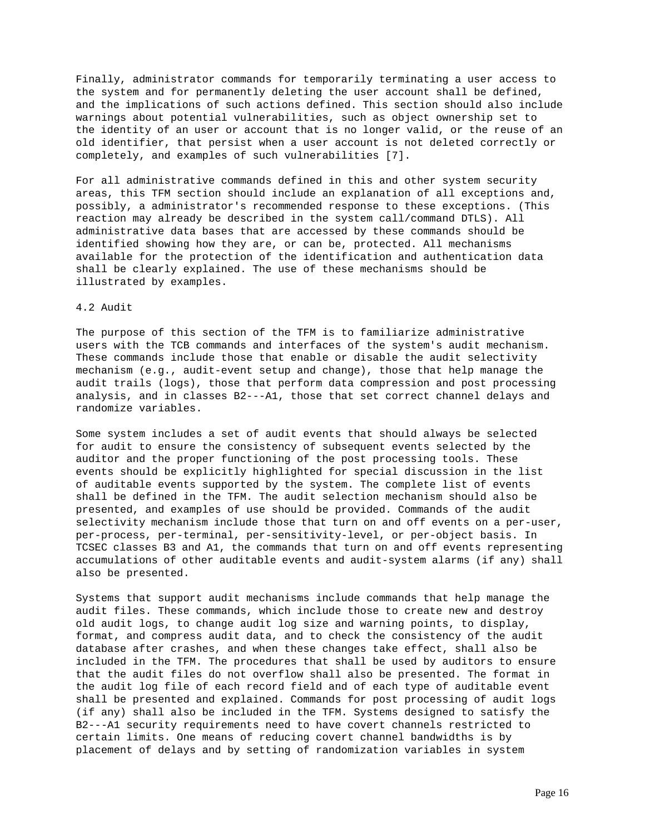Finally, administrator commands for temporarily terminating a user access to the system and for permanently deleting the user account shall be defined, and the implications of such actions defined. This section should also include warnings about potential vulnerabilities, such as object ownership set to the identity of an user or account that is no longer valid, or the reuse of an old identifier, that persist when a user account is not deleted correctly or completely, and examples of such vulnerabilities [7].

For all administrative commands defined in this and other system security areas, this TFM section should include an explanation of all exceptions and, possibly, a administrator's recommended response to these exceptions. (This reaction may already be described in the system call/command DTLS). All administrative data bases that are accessed by these commands should be identified showing how they are, or can be, protected. All mechanisms available for the protection of the identification and authentication data shall be clearly explained. The use of these mechanisms should be illustrated by examples.

### 4.2 Audit

The purpose of this section of the TFM is to familiarize administrative users with the TCB commands and interfaces of the system's audit mechanism. These commands include those that enable or disable the audit selectivity mechanism (e.g., audit-event setup and change), those that help manage the audit trails (logs), those that perform data compression and post processing analysis, and in classes B2---A1, those that set correct channel delays and randomize variables.

Some system includes a set of audit events that should always be selected for audit to ensure the consistency of subsequent events selected by the auditor and the proper functioning of the post processing tools. These events should be explicitly highlighted for special discussion in the list of auditable events supported by the system. The complete list of events shall be defined in the TFM. The audit selection mechanism should also be presented, and examples of use should be provided. Commands of the audit selectivity mechanism include those that turn on and off events on a per-user, per-process, per-terminal, per-sensitivity-level, or per-object basis. In TCSEC classes B3 and A1, the commands that turn on and off events representing accumulations of other auditable events and audit-system alarms (if any) shall also be presented.

Systems that support audit mechanisms include commands that help manage the audit files. These commands, which include those to create new and destroy old audit logs, to change audit log size and warning points, to display, format, and compress audit data, and to check the consistency of the audit database after crashes, and when these changes take effect, shall also be included in the TFM. The procedures that shall be used by auditors to ensure that the audit files do not overflow shall also be presented. The format in the audit log file of each record field and of each type of auditable event shall be presented and explained. Commands for post processing of audit logs (if any) shall also be included in the TFM. Systems designed to satisfy the B2---A1 security requirements need to have covert channels restricted to certain limits. One means of reducing covert channel bandwidths is by placement of delays and by setting of randomization variables in system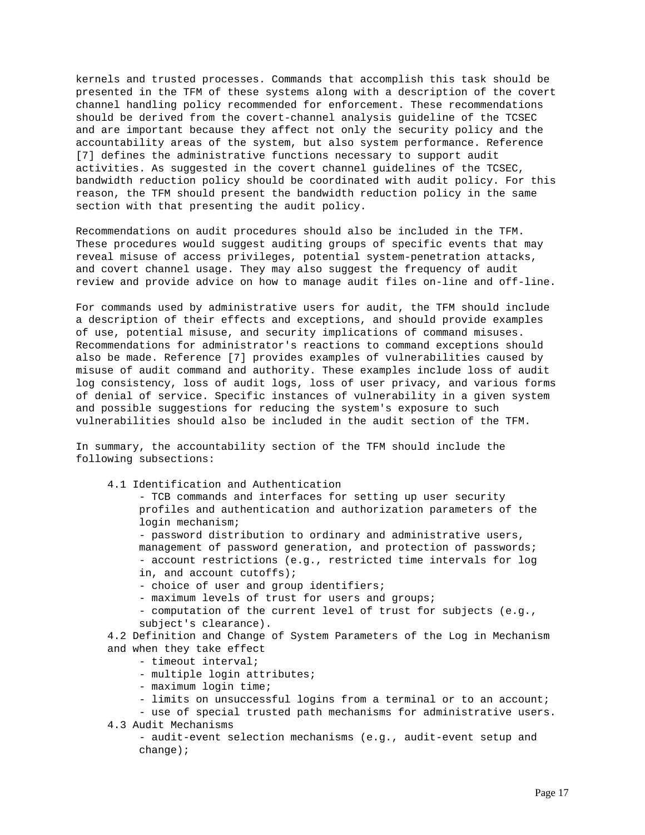kernels and trusted processes. Commands that accomplish this task should be presented in the TFM of these systems along with a description of the covert channel handling policy recommended for enforcement. These recommendations should be derived from the covert-channel analysis guideline of the TCSEC and are important because they affect not only the security policy and the accountability areas of the system, but also system performance. Reference [7] defines the administrative functions necessary to support audit activities. As suggested in the covert channel guidelines of the TCSEC, bandwidth reduction policy should be coordinated with audit policy. For this reason, the TFM should present the bandwidth reduction policy in the same section with that presenting the audit policy.

Recommendations on audit procedures should also be included in the TFM. These procedures would suggest auditing groups of specific events that may reveal misuse of access privileges, potential system-penetration attacks, and covert channel usage. They may also suggest the frequency of audit review and provide advice on how to manage audit files on-line and off-line.

For commands used by administrative users for audit, the TFM should include a description of their effects and exceptions, and should provide examples of use, potential misuse, and security implications of command misuses. Recommendations for administrator's reactions to command exceptions should also be made. Reference [7] provides examples of vulnerabilities caused by misuse of audit command and authority. These examples include loss of audit log consistency, loss of audit logs, loss of user privacy, and various forms of denial of service. Specific instances of vulnerability in a given system and possible suggestions for reducing the system's exposure to such vulnerabilities should also be included in the audit section of the TFM.

In summary, the accountability section of the TFM should include the following subsections:

4.1 Identification and Authentication

 - TCB commands and interfaces for setting up user security profiles and authentication and authorization parameters of the login mechanism;

 - password distribution to ordinary and administrative users, management of password generation, and protection of passwords; - account restrictions (e.g., restricted time intervals for log in, and account cutoffs);

- choice of user and group identifiers;

- maximum levels of trust for users and groups;

 - computation of the current level of trust for subjects (e.g., subject's clearance).

 4.2 Definition and Change of System Parameters of the Log in Mechanism and when they take effect

- timeout interval;

- multiple login attributes;

- maximum login time;
- limits on unsuccessful logins from a terminal or to an account;

- use of special trusted path mechanisms for administrative users.

4.3 Audit Mechanisms

 - audit-event selection mechanisms (e.g., audit-event setup and change);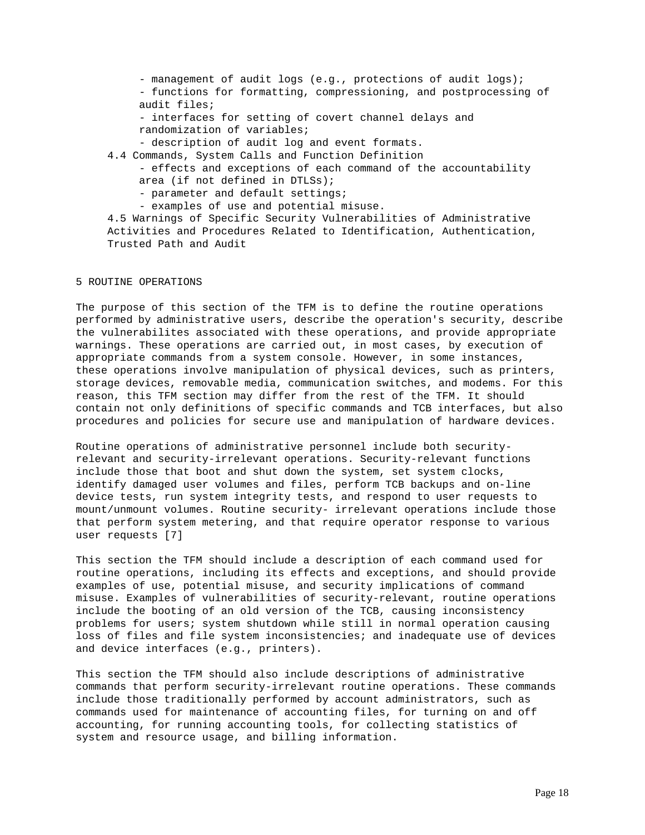- management of audit logs (e.g., protections of audit logs); - functions for formatting, compressioning, and postprocessing of audit files; - interfaces for setting of covert channel delays and randomization of variables;

- description of audit log and event formats.
- 4.4 Commands, System Calls and Function Definition
	- effects and exceptions of each command of the accountability area (if not defined in DTLSs);
		- parameter and default settings;
	- examples of use and potential misuse.

 4.5 Warnings of Specific Security Vulnerabilities of Administrative Activities and Procedures Related to Identification, Authentication, Trusted Path and Audit

## 5 ROUTINE OPERATIONS

The purpose of this section of the TFM is to define the routine operations performed by administrative users, describe the operation's security, describe the vulnerabilites associated with these operations, and provide appropriate warnings. These operations are carried out, in most cases, by execution of appropriate commands from a system console. However, in some instances, these operations involve manipulation of physical devices, such as printers, storage devices, removable media, communication switches, and modems. For this reason, this TFM section may differ from the rest of the TFM. It should contain not only definitions of specific commands and TCB interfaces, but also procedures and policies for secure use and manipulation of hardware devices.

Routine operations of administrative personnel include both securityrelevant and security-irrelevant operations. Security-relevant functions include those that boot and shut down the system, set system clocks, identify damaged user volumes and files, perform TCB backups and on-line device tests, run system integrity tests, and respond to user requests to mount/unmount volumes. Routine security- irrelevant operations include those that perform system metering, and that require operator response to various user requests [7]

This section the TFM should include a description of each command used for routine operations, including its effects and exceptions, and should provide examples of use, potential misuse, and security implications of command misuse. Examples of vulnerabilities of security-relevant, routine operations include the booting of an old version of the TCB, causing inconsistency problems for users; system shutdown while still in normal operation causing loss of files and file system inconsistencies; and inadequate use of devices and device interfaces (e.g., printers).

This section the TFM should also include descriptions of administrative commands that perform security-irrelevant routine operations. These commands include those traditionally performed by account administrators, such as commands used for maintenance of accounting files, for turning on and off accounting, for running accounting tools, for collecting statistics of system and resource usage, and billing information.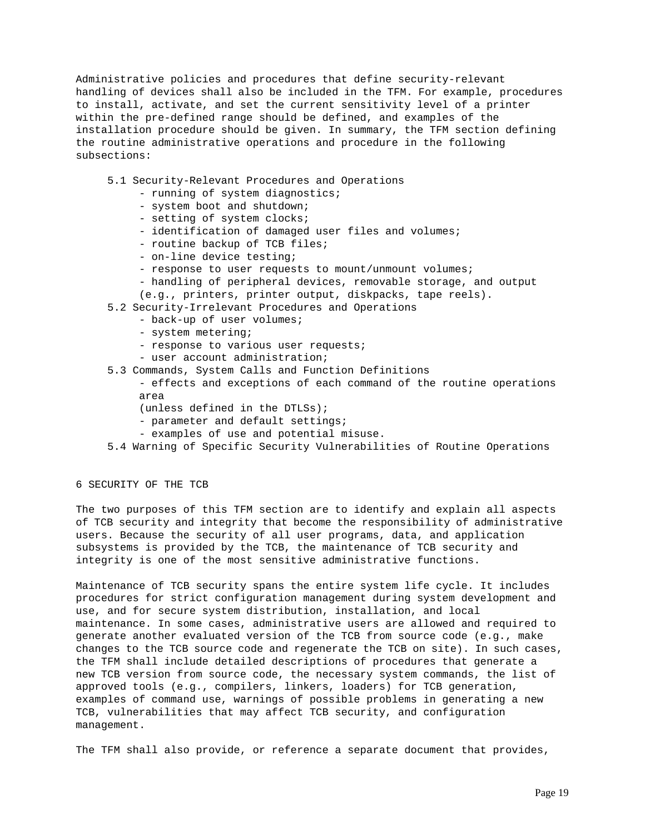Administrative policies and procedures that define security-relevant handling of devices shall also be included in the TFM. For example, procedures to install, activate, and set the current sensitivity level of a printer within the pre-defined range should be defined, and examples of the installation procedure should be given. In summary, the TFM section defining the routine administrative operations and procedure in the following subsections:

- 5.1 Security-Relevant Procedures and Operations
	- running of system diagnostics;
	- system boot and shutdown;
	- setting of system clocks;
	- identification of damaged user files and volumes;
	- routine backup of TCB files;
	- on-line device testing;
	- response to user requests to mount/unmount volumes;
	- handling of peripheral devices, removable storage, and output
	- (e.g., printers, printer output, diskpacks, tape reels).
- 5.2 Security-Irrelevant Procedures and Operations
	- back-up of user volumes;
	- system metering;
	- response to various user requests;
	- user account administration;
- 5.3 Commands, System Calls and Function Definitions
	- effects and exceptions of each command of the routine operations area
	- (unless defined in the DTLSs);
	- parameter and default settings;
	- examples of use and potential misuse.
- 5.4 Warning of Specific Security Vulnerabilities of Routine Operations

6 SECURITY OF THE TCB

The two purposes of this TFM section are to identify and explain all aspects of TCB security and integrity that become the responsibility of administrative users. Because the security of all user programs, data, and application subsystems is provided by the TCB, the maintenance of TCB security and integrity is one of the most sensitive administrative functions.

Maintenance of TCB security spans the entire system life cycle. It includes procedures for strict configuration management during system development and use, and for secure system distribution, installation, and local maintenance. In some cases, administrative users are allowed and required to generate another evaluated version of the TCB from source code (e.g., make changes to the TCB source code and regenerate the TCB on site). In such cases, the TFM shall include detailed descriptions of procedures that generate a new TCB version from source code, the necessary system commands, the list of approved tools (e.g., compilers, linkers, loaders) for TCB generation, examples of command use, warnings of possible problems in generating a new TCB, vulnerabilities that may affect TCB security, and configuration management.

The TFM shall also provide, or reference a separate document that provides,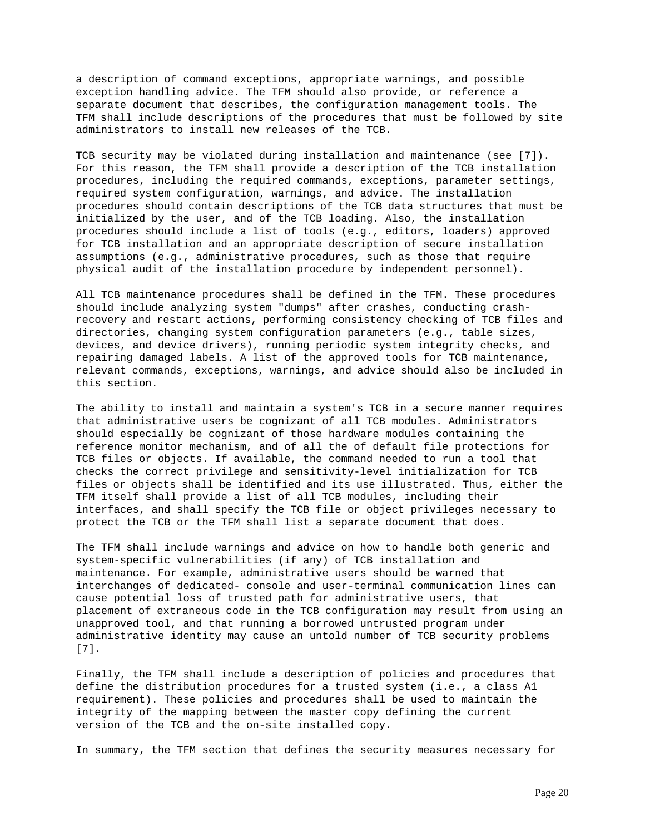a description of command exceptions, appropriate warnings, and possible exception handling advice. The TFM should also provide, or reference a separate document that describes, the configuration management tools. The TFM shall include descriptions of the procedures that must be followed by site administrators to install new releases of the TCB.

TCB security may be violated during installation and maintenance (see [7]). For this reason, the TFM shall provide a description of the TCB installation procedures, including the required commands, exceptions, parameter settings, required system configuration, warnings, and advice. The installation procedures should contain descriptions of the TCB data structures that must be initialized by the user, and of the TCB loading. Also, the installation procedures should include a list of tools (e.g., editors, loaders) approved for TCB installation and an appropriate description of secure installation assumptions (e.g., administrative procedures, such as those that require physical audit of the installation procedure by independent personnel).

All TCB maintenance procedures shall be defined in the TFM. These procedures should include analyzing system "dumps" after crashes, conducting crashrecovery and restart actions, performing consistency checking of TCB files and directories, changing system configuration parameters (e.g., table sizes, devices, and device drivers), running periodic system integrity checks, and repairing damaged labels. A list of the approved tools for TCB maintenance, relevant commands, exceptions, warnings, and advice should also be included in this section.

The ability to install and maintain a system's TCB in a secure manner requires that administrative users be cognizant of all TCB modules. Administrators should especially be cognizant of those hardware modules containing the reference monitor mechanism, and of all the of default file protections for TCB files or objects. If available, the command needed to run a tool that checks the correct privilege and sensitivity-level initialization for TCB files or objects shall be identified and its use illustrated. Thus, either the TFM itself shall provide a list of all TCB modules, including their interfaces, and shall specify the TCB file or object privileges necessary to protect the TCB or the TFM shall list a separate document that does.

The TFM shall include warnings and advice on how to handle both generic and system-specific vulnerabilities (if any) of TCB installation and maintenance. For example, administrative users should be warned that interchanges of dedicated- console and user-terminal communication lines can cause potential loss of trusted path for administrative users, that placement of extraneous code in the TCB configuration may result from using an unapproved tool, and that running a borrowed untrusted program under administrative identity may cause an untold number of TCB security problems [7].

Finally, the TFM shall include a description of policies and procedures that define the distribution procedures for a trusted system (i.e., a class A1 requirement). These policies and procedures shall be used to maintain the integrity of the mapping between the master copy defining the current version of the TCB and the on-site installed copy.

In summary, the TFM section that defines the security measures necessary for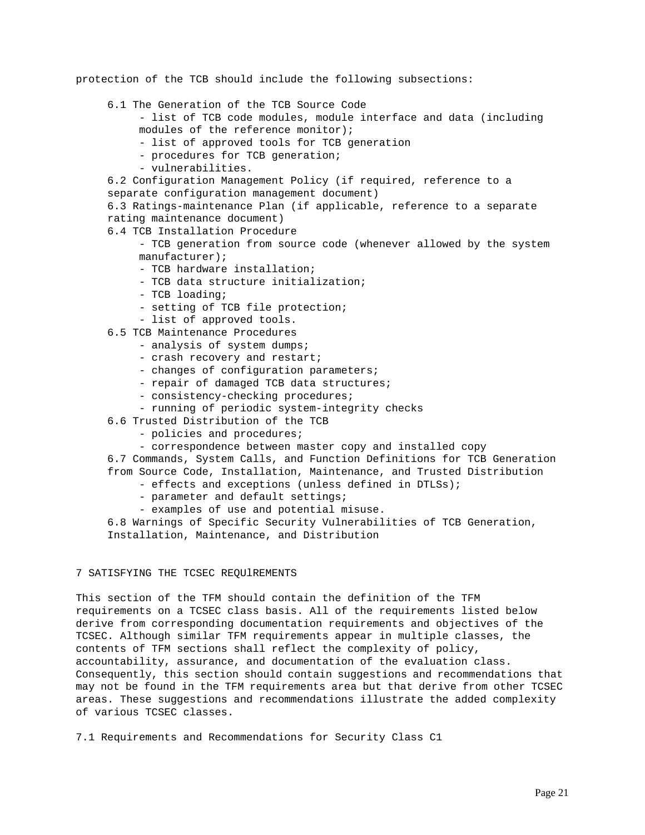protection of the TCB should include the following subsections:

- 6.1 The Generation of the TCB Source Code
	- list of TCB code modules, module interface and data (including modules of the reference monitor);
		- list of approved tools for TCB generation
		- procedures for TCB generation;
	- vulnerabilities.
- 6.2 Configuration Management Policy (if required, reference to a separate configuration management document)
- 6.3 Ratings-maintenance Plan (if applicable, reference to a separate rating maintenance document)
- 6.4 TCB Installation Procedure
	- TCB generation from source code (whenever allowed by the system manufacturer);
	- TCB hardware installation;
	- TCB data structure initialization;
	- TCB loading;
	- setting of TCB file protection;
	- list of approved tools.
- 6.5 TCB Maintenance Procedures
	- analysis of system dumps;
	- crash recovery and restart;
	- changes of configuration parameters;
	- repair of damaged TCB data structures;
	- consistency-checking procedures;
	- running of periodic system-integrity checks
- 6.6 Trusted Distribution of the TCB
	- policies and procedures;
	- correspondence between master copy and installed copy

 6.7 Commands, System Calls, and Function Definitions for TCB Generation from Source Code, Installation, Maintenance, and Trusted Distribution

- effects and exceptions (unless defined in DTLSs);
- parameter and default settings;
- examples of use and potential misuse.

 6.8 Warnings of Specific Security Vulnerabilities of TCB Generation, Installation, Maintenance, and Distribution

### 7 SATISFYING THE TCSEC REQUlREMENTS

This section of the TFM should contain the definition of the TFM requirements on a TCSEC class basis. All of the requirements listed below derive from corresponding documentation requirements and objectives of the TCSEC. Although similar TFM requirements appear in multiple classes, the contents of TFM sections shall reflect the complexity of policy, accountability, assurance, and documentation of the evaluation class. Consequently, this section should contain suggestions and recommendations that may not be found in the TFM requirements area but that derive from other TCSEC areas. These suggestions and recommendations illustrate the added complexity of various TCSEC classes.

7.1 Requirements and Recommendations for Security Class C1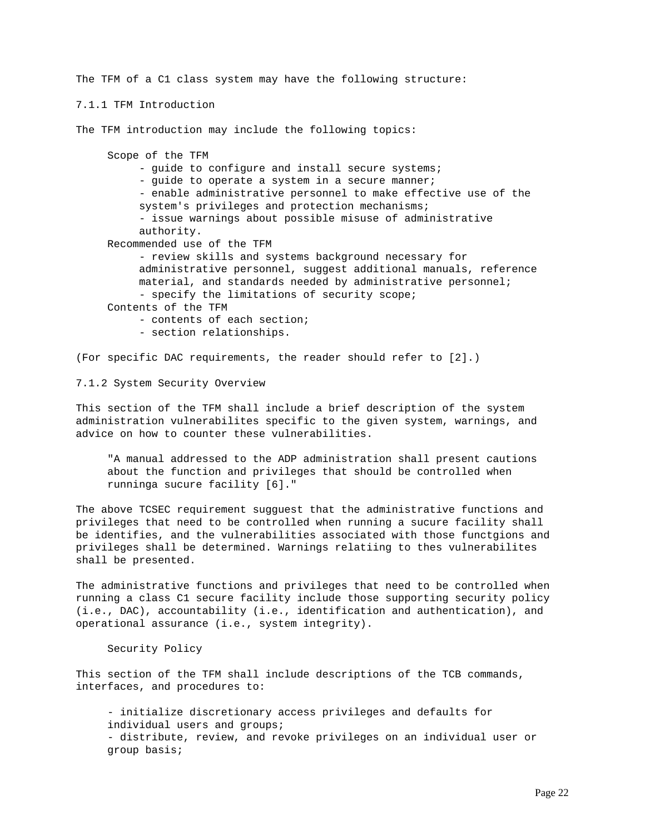The TFM of a C1 class system may have the following structure:

7.1.1 TFM Introduction

The TFM introduction may include the following topics:

 Scope of the TFM - guide to configure and install secure systems; - quide to operate a system in a secure manner; - enable administrative personnel to make effective use of the system's privileges and protection mechanisms; - issue warnings about possible misuse of administrative authority. Recommended use of the TFM - review skills and systems background necessary for administrative personnel, suggest additional manuals, reference material, and standards needed by administrative personnel; - specify the limitations of security scope; Contents of the TFM - contents of each section; - section relationships.

(For specific DAC requirements, the reader should refer to [2].)

7.1.2 System Security Overview

This section of the TFM shall include a brief description of the system administration vulnerabilites specific to the given system, warnings, and advice on how to counter these vulnerabilities.

 "A manual addressed to the ADP administration shall present cautions about the function and privileges that should be controlled when runninga sucure facility [6]."

The above TCSEC requirement sugguest that the administrative functions and privileges that need to be controlled when running a sucure facility shall be identifies, and the vulnerabilities associated with those functgions and privileges shall be determined. Warnings relatiing to thes vulnerabilites shall be presented.

The administrative functions and privileges that need to be controlled when running a class C1 secure facility include those supporting security policy (i.e., DAC), accountability (i.e., identification and authentication), and operational assurance (i.e., system integrity).

Security Policy

This section of the TFM shall include descriptions of the TCB commands, interfaces, and procedures to:

 - initialize discretionary access privileges and defaults for individual users and groups; - distribute, review, and revoke privileges on an individual user or group basis;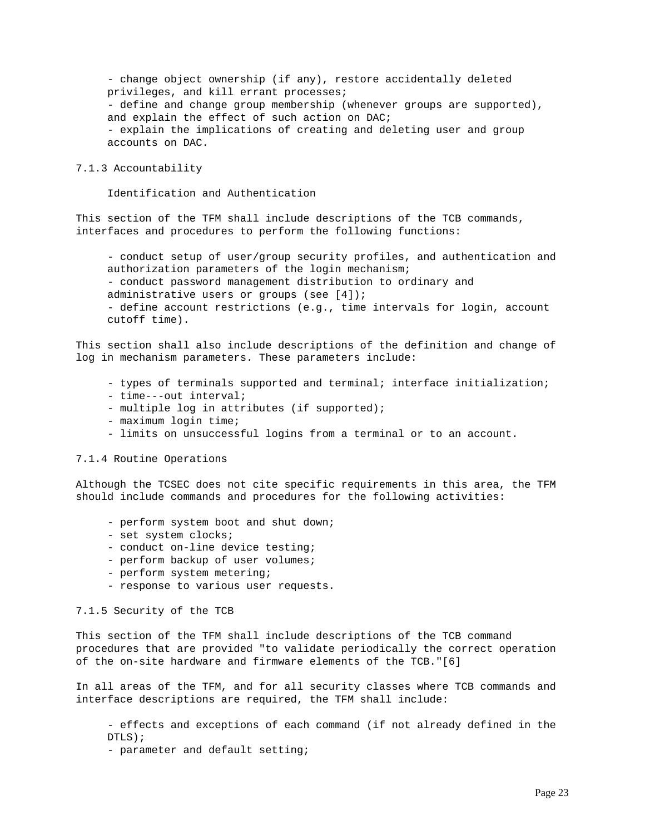- change object ownership (if any), restore accidentally deleted privileges, and kill errant processes; - define and change group membership (whenever groups are supported), and explain the effect of such action on DAC; - explain the implications of creating and deleting user and group accounts on DAC.

7.1.3 Accountability

Identification and Authentication

This section of the TFM shall include descriptions of the TCB commands, interfaces and procedures to perform the following functions:

 - conduct setup of user/group security profiles, and authentication and authorization parameters of the login mechanism; - conduct password management distribution to ordinary and administrative users or groups (see [4]); - define account restrictions (e.g., time intervals for login, account cutoff time).

This section shall also include descriptions of the definition and change of log in mechanism parameters. These parameters include:

- types of terminals supported and terminal; interface initialization;
- time---out interval;
- multiple log in attributes (if supported);
- maximum login time;
- limits on unsuccessful logins from a terminal or to an account.

7.1.4 Routine Operations

Although the TCSEC does not cite specific requirements in this area, the TFM should include commands and procedures for the following activities:

- perform system boot and shut down;
- set system clocks;
- conduct on-line device testing;
- perform backup of user volumes;
- perform system metering;
- response to various user requests.

7.1.5 Security of the TCB

This section of the TFM shall include descriptions of the TCB command procedures that are provided "to validate periodically the correct operation of the on-site hardware and firmware elements of the TCB."[6]

In all areas of the TFM, and for all security classes where TCB commands and interface descriptions are required, the TFM shall include:

 - effects and exceptions of each command (if not already defined in the DTLS);

- parameter and default setting;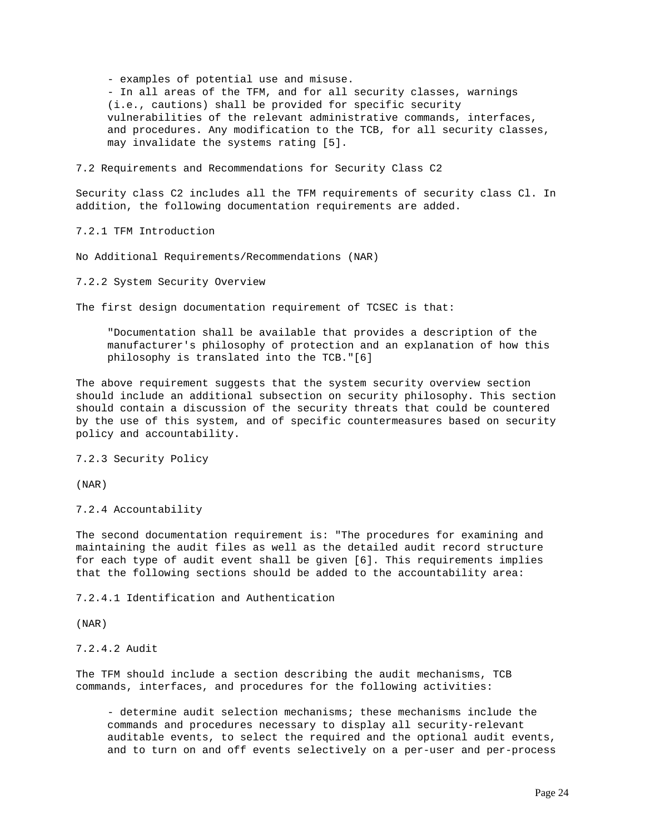- examples of potential use and misuse. - In all areas of the TFM, and for all security classes, warnings (i.e., cautions) shall be provided for specific security vulnerabilities of the relevant administrative commands, interfaces, and procedures. Any modification to the TCB, for all security classes, may invalidate the systems rating [5].

7.2 Requirements and Recommendations for Security Class C2

Security class C2 includes all the TFM requirements of security class Cl. In addition, the following documentation requirements are added.

7.2.1 TFM Introduction

No Additional Requirements/Recommendations (NAR)

7.2.2 System Security Overview

The first design documentation requirement of TCSEC is that:

 "Documentation shall be available that provides a description of the manufacturer's philosophy of protection and an explanation of how this philosophy is translated into the TCB."[6]

The above requirement suggests that the system security overview section should include an additional subsection on security philosophy. This section should contain a discussion of the security threats that could be countered by the use of this system, and of specific countermeasures based on security policy and accountability.

7.2.3 Security Policy

(NAR)

7.2.4 Accountability

The second documentation requirement is: "The procedures for examining and maintaining the audit files as well as the detailed audit record structure for each type of audit event shall be given [6]. This requirements implies that the following sections should be added to the accountability area:

7.2.4.1 Identification and Authentication

(NAR)

7.2.4.2 Audit

The TFM should include a section describing the audit mechanisms, TCB commands, interfaces, and procedures for the following activities:

 - determine audit selection mechanisms; these mechanisms include the commands and procedures necessary to display all security-relevant auditable events, to select the required and the optional audit events, and to turn on and off events selectively on a per-user and per-process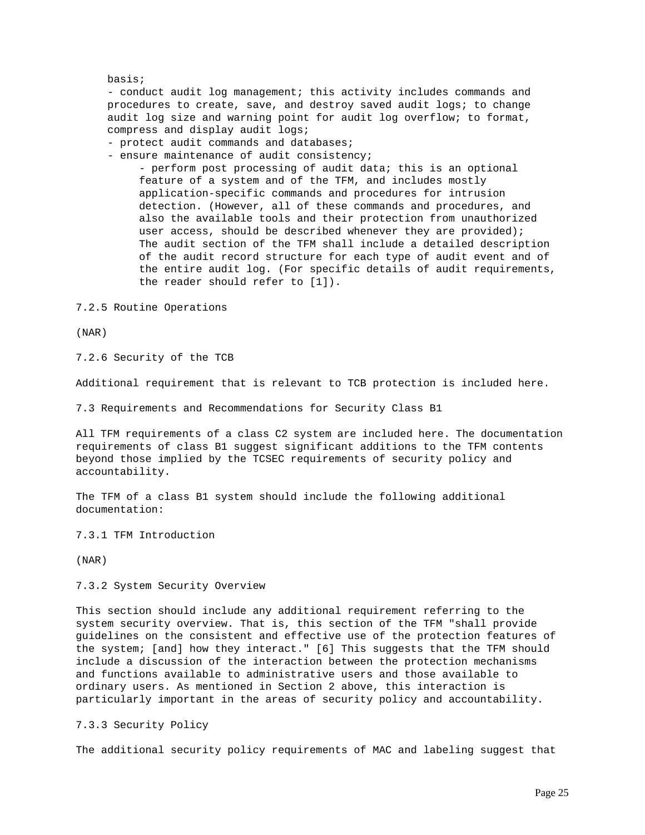#### basis;

 - conduct audit log management; this activity includes commands and procedures to create, save, and destroy saved audit logs; to change audit log size and warning point for audit log overflow; to format, compress and display audit logs;

- protect audit commands and databases;

- ensure maintenance of audit consistency;

 - perform post processing of audit data; this is an optional feature of a system and of the TFM, and includes mostly application-specific commands and procedures for intrusion detection. (However, all of these commands and procedures, and also the available tools and their protection from unauthorized user access, should be described whenever they are provided); The audit section of the TFM shall include a detailed description of the audit record structure for each type of audit event and of the entire audit log. (For specific details of audit requirements, the reader should refer to [1]).

7.2.5 Routine Operations

(NAR)

7.2.6 Security of the TCB

Additional requirement that is relevant to TCB protection is included here.

7.3 Requirements and Recommendations for Security Class B1

All TFM requirements of a class C2 system are included here. The documentation requirements of class B1 suggest significant additions to the TFM contents beyond those implied by the TCSEC requirements of security policy and accountability.

The TFM of a class B1 system should include the following additional documentation:

7.3.1 TFM Introduction

(NAR)

7.3.2 System Security Overview

This section should include any additional requirement referring to the system security overview. That is, this section of the TFM "shall provide guidelines on the consistent and effective use of the protection features of the system; [and] how they interact." [6] This suggests that the TFM should include a discussion of the interaction between the protection mechanisms and functions available to administrative users and those available to ordinary users. As mentioned in Section 2 above, this interaction is particularly important in the areas of security policy and accountability.

7.3.3 Security Policy

The additional security policy requirements of MAC and labeling suggest that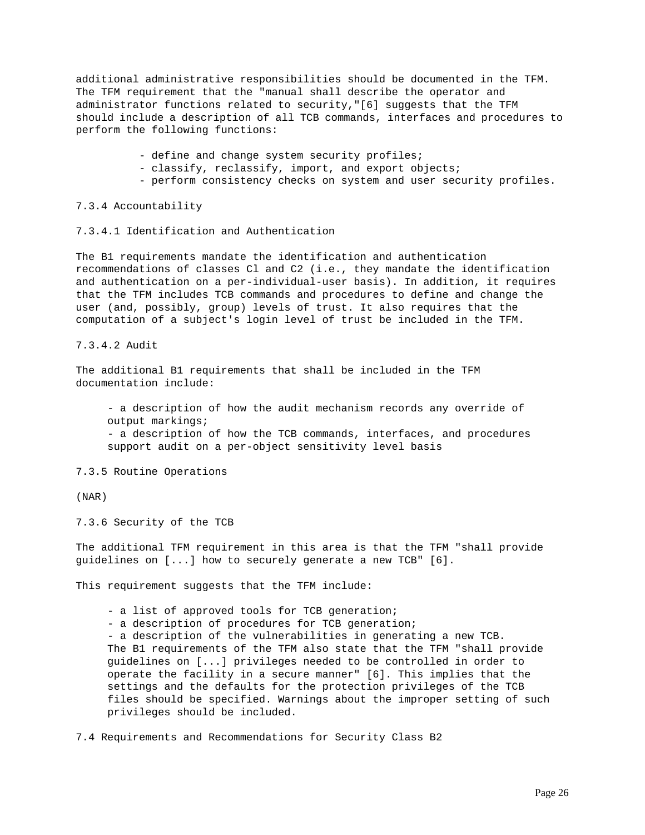additional administrative responsibilities should be documented in the TFM. The TFM requirement that the "manual shall describe the operator and administrator functions related to security,"[6] suggests that the TFM should include a description of all TCB commands, interfaces and procedures to perform the following functions:

- define and change system security profiles;
- classify, reclassify, import, and export objects;
- perform consistency checks on system and user security profiles.

7.3.4 Accountability

7.3.4.1 Identification and Authentication

The B1 requirements mandate the identification and authentication recommendations of classes Cl and C2 (i.e., they mandate the identification and authentication on a per-individual-user basis). In addition, it requires that the TFM includes TCB commands and procedures to define and change the user (and, possibly, group) levels of trust. It also requires that the computation of a subject's login level of trust be included in the TFM.

7.3.4.2 Audit

The additional B1 requirements that shall be included in the TFM documentation include:

 - a description of how the audit mechanism records any override of output markings; - a description of how the TCB commands, interfaces, and procedures support audit on a per-object sensitivity level basis

7.3.5 Routine Operations

(NAR)

7.3.6 Security of the TCB

The additional TFM requirement in this area is that the TFM "shall provide guidelines on [...] how to securely generate a new TCB" [6].

This requirement suggests that the TFM include:

- a list of approved tools for TCB generation;

- a description of procedures for TCB generation;

 - a description of the vulnerabilities in generating a new TCB. The B1 requirements of the TFM also state that the TFM "shall provide guidelines on [...] privileges needed to be controlled in order to operate the facility in a secure manner" [6]. This implies that the settings and the defaults for the protection privileges of the TCB files should be specified. Warnings about the improper setting of such privileges should be included.

7.4 Requirements and Recommendations for Security Class B2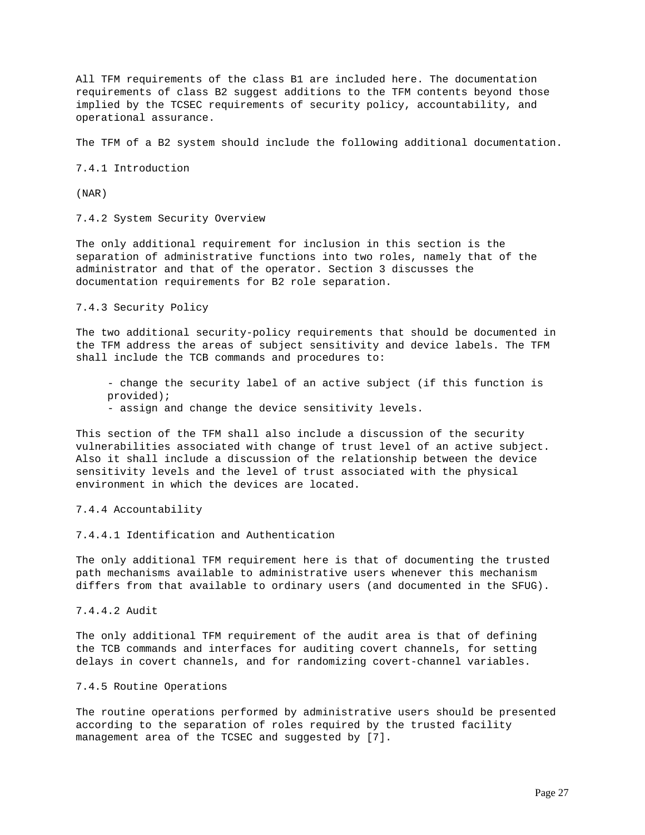All TFM requirements of the class B1 are included here. The documentation requirements of class B2 suggest additions to the TFM contents beyond those implied by the TCSEC requirements of security policy, accountability, and operational assurance.

The TFM of a B2 system should include the following additional documentation.

7.4.1 Introduction

(NAR)

7.4.2 System Security Overview

The only additional requirement for inclusion in this section is the separation of administrative functions into two roles, namely that of the administrator and that of the operator. Section 3 discusses the documentation requirements for B2 role separation.

7.4.3 Security Policy

The two additional security-policy requirements that should be documented in the TFM address the areas of subject sensitivity and device labels. The TFM shall include the TCB commands and procedures to:

 - change the security label of an active subject (if this function is provided);

- assign and change the device sensitivity levels.

This section of the TFM shall also include a discussion of the security vulnerabilities associated with change of trust level of an active subject. Also it shall include a discussion of the relationship between the device sensitivity levels and the level of trust associated with the physical environment in which the devices are located.

7.4.4 Accountability

7.4.4.1 Identification and Authentication

The only additional TFM requirement here is that of documenting the trusted path mechanisms available to administrative users whenever this mechanism differs from that available to ordinary users (and documented in the SFUG).

7.4.4.2 Audit

The only additional TFM requirement of the audit area is that of defining the TCB commands and interfaces for auditing covert channels, for setting delays in covert channels, and for randomizing covert-channel variables.

#### 7.4.5 Routine Operations

The routine operations performed by administrative users should be presented according to the separation of roles required by the trusted facility management area of the TCSEC and suggested by [7].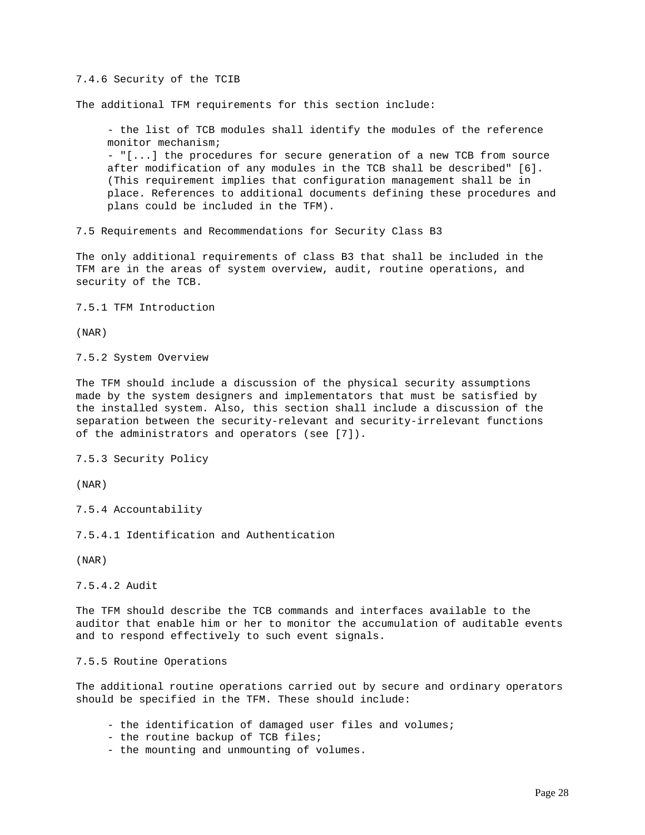#### 7.4.6 Security of the TCIB

The additional TFM requirements for this section include:

 - the list of TCB modules shall identify the modules of the reference monitor mechanism;

 - "[...] the procedures for secure generation of a new TCB from source after modification of any modules in the TCB shall be described" [6]. (This requirement implies that configuration management shall be in place. References to additional documents defining these procedures and plans could be included in the TFM).

7.5 Requirements and Recommendations for Security Class B3

The only additional requirements of class B3 that shall be included in the TFM are in the areas of system overview, audit, routine operations, and security of the TCB.

7.5.1 TFM Introduction

(NAR)

7.5.2 System Overview

The TFM should include a discussion of the physical security assumptions made by the system designers and implementators that must be satisfied by the installed system. Also, this section shall include a discussion of the separation between the security-relevant and security-irrelevant functions of the administrators and operators (see [7]).

7.5.3 Security Policy

(NAR)

7.5.4 Accountability

7.5.4.1 Identification and Authentication

(NAR)

7.5.4.2 Audit

The TFM should describe the TCB commands and interfaces available to the auditor that enable him or her to monitor the accumulation of auditable events and to respond effectively to such event signals.

7.5.5 Routine Operations

The additional routine operations carried out by secure and ordinary operators should be specified in the TFM. These should include:

- the identification of damaged user files and volumes;
- the routine backup of TCB files;
- the mounting and unmounting of volumes.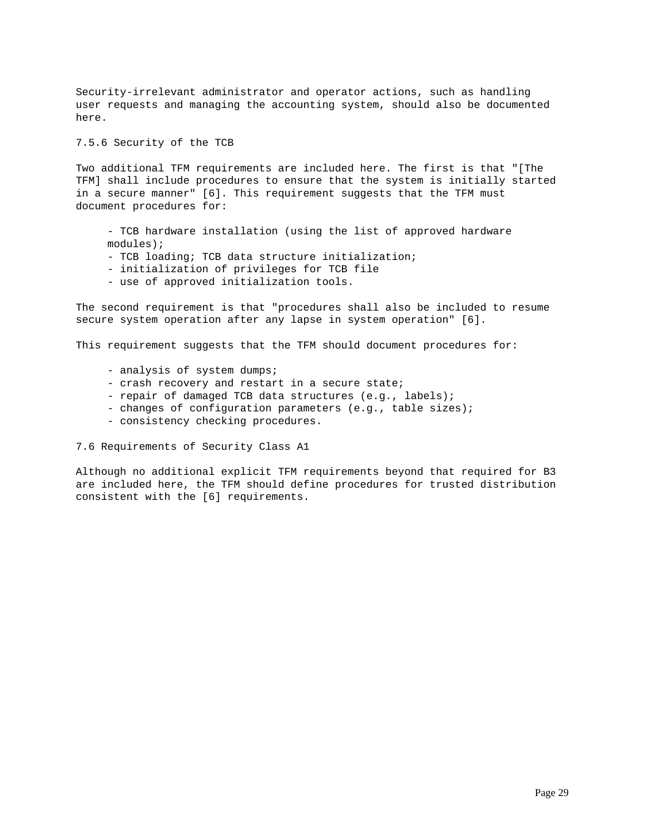Security-irrelevant administrator and operator actions, such as handling user requests and managing the accounting system, should also be documented here.

7.5.6 Security of the TCB

Two additional TFM requirements are included here. The first is that "[The TFM] shall include procedures to ensure that the system is initially started in a secure manner" [6]. This requirement suggests that the TFM must document procedures for:

 - TCB hardware installation (using the list of approved hardware modules);

- TCB loading; TCB data structure initialization;
- initialization of privileges for TCB file
- use of approved initialization tools.

The second requirement is that "procedures shall also be included to resume secure system operation after any lapse in system operation" [6].

This requirement suggests that the TFM should document procedures for:

- analysis of system dumps;
- crash recovery and restart in a secure state;
- repair of damaged TCB data structures (e.g., labels);
- changes of configuration parameters (e.g., table sizes);
- consistency checking procedures.

7.6 Requirements of Security Class A1

Although no additional explicit TFM requirements beyond that required for B3 are included here, the TFM should define procedures for trusted distribution consistent with the [6] requirements.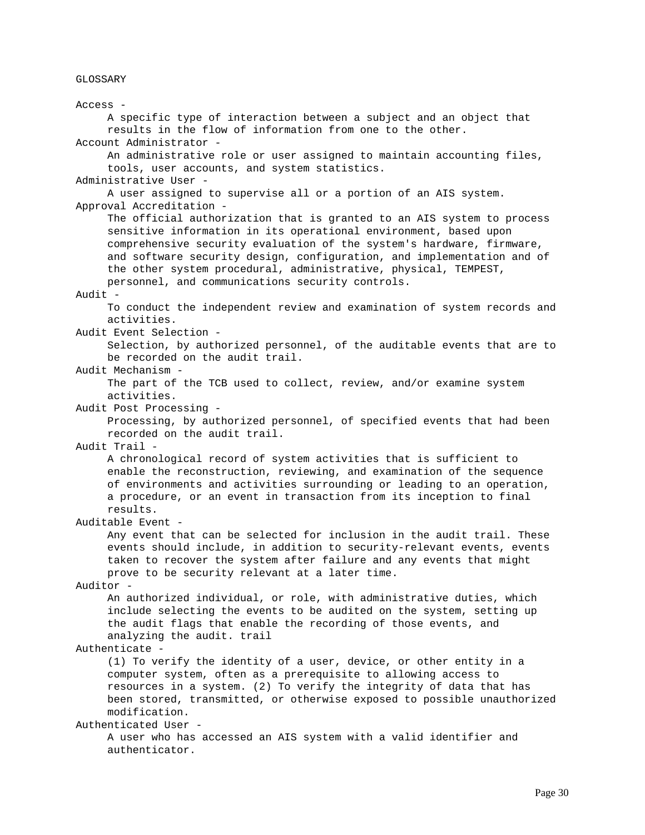GLOSSARY

Access - A specific type of interaction between a subject and an object that results in the flow of information from one to the other. Account Administrator - An administrative role or user assigned to maintain accounting files, tools, user accounts, and system statistics. Administrative User - A user assigned to supervise all or a portion of an AIS system. Approval Accreditation - The official authorization that is granted to an AIS system to process sensitive information in its operational environment, based upon comprehensive security evaluation of the system's hardware, firmware, and software security design, configuration, and implementation and of the other system procedural, administrative, physical, TEMPEST, personnel, and communications security controls. Audit - To conduct the independent review and examination of system records and activities. Audit Event Selection - Selection, by authorized personnel, of the auditable events that are to be recorded on the audit trail. Audit Mechanism - The part of the TCB used to collect, review, and/or examine system activities. Audit Post Processing - Processing, by authorized personnel, of specified events that had been recorded on the audit trail. Audit Trail - A chronological record of system activities that is sufficient to enable the reconstruction, reviewing, and examination of the sequence of environments and activities surrounding or leading to an operation, a procedure, or an event in transaction from its inception to final results. Auditable Event - Any event that can be selected for inclusion in the audit trail. These events should include, in addition to security-relevant events, events taken to recover the system after failure and any events that might prove to be security relevant at a later time. Auditor - An authorized individual, or role, with administrative duties, which include selecting the events to be audited on the system, setting up the audit flags that enable the recording of those events, and analyzing the audit. trail Authenticate - (1) To verify the identity of a user, device, or other entity in a computer system, often as a prerequisite to allowing access to resources in a system. (2) To verify the integrity of data that has been stored, transmitted, or otherwise exposed to possible unauthorized modification. Authenticated User - A user who has accessed an AIS system with a valid identifier and authenticator.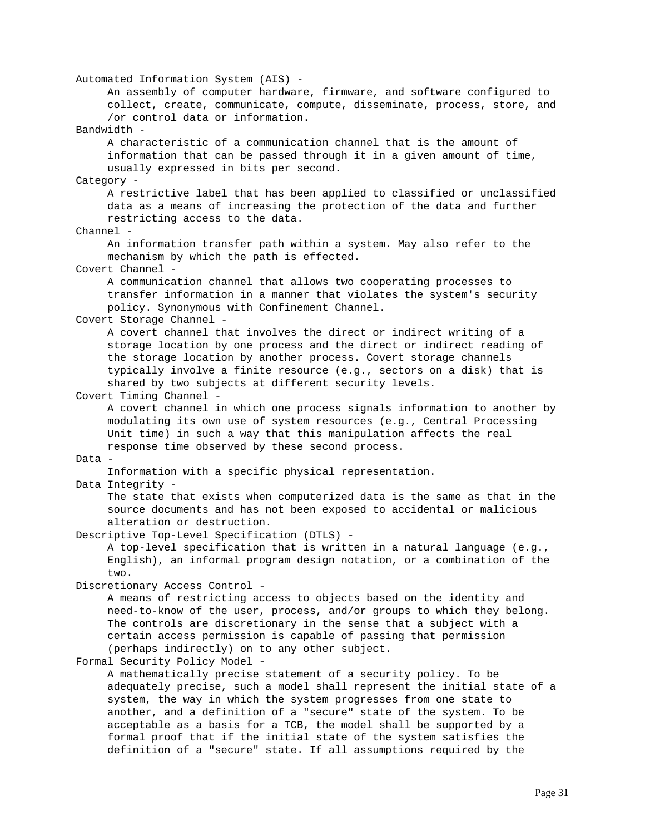Automated Information System (AIS) - An assembly of computer hardware, firmware, and software configured to collect, create, communicate, compute, disseminate, process, store, and /or control data or information. Bandwidth - A characteristic of a communication channel that is the amount of information that can be passed through it in a given amount of time, usually expressed in bits per second. Category - A restrictive label that has been applied to classified or unclassified data as a means of increasing the protection of the data and further restricting access to the data. Channel - An information transfer path within a system. May also refer to the mechanism by which the path is effected. Covert Channel - A communication channel that allows two cooperating processes to transfer information in a manner that violates the system's security policy. Synonymous with Confinement Channel. Covert Storage Channel - A covert channel that involves the direct or indirect writing of a storage location by one process and the direct or indirect reading of the storage location by another process. Covert storage channels typically involve a finite resource (e.g., sectors on a disk) that is shared by two subjects at different security levels. Covert Timing Channel - A covert channel in which one process signals information to another by modulating its own use of system resources (e.g., Central Processing Unit time) in such a way that this manipulation affects the real response time observed by these second process. Data - Information with a specific physical representation. Data Integrity - The state that exists when computerized data is the same as that in the source documents and has not been exposed to accidental or malicious alteration or destruction. Descriptive Top-Level Specification (DTLS) - A top-level specification that is written in a natural language (e.g., English), an informal program design notation, or a combination of the two. Discretionary Access Control - A means of restricting access to objects based on the identity and need-to-know of the user, process, and/or groups to which they belong. The controls are discretionary in the sense that a subject with a certain access permission is capable of passing that permission (perhaps indirectly) on to any other subject. Formal Security Policy Model - A mathematically precise statement of a security policy. To be adequately precise, such a model shall represent the initial state of a system, the way in which the system progresses from one state to another, and a definition of a "secure" state of the system. To be acceptable as a basis for a TCB, the model shall be supported by a formal proof that if the initial state of the system satisfies the

definition of a "secure" state. If all assumptions required by the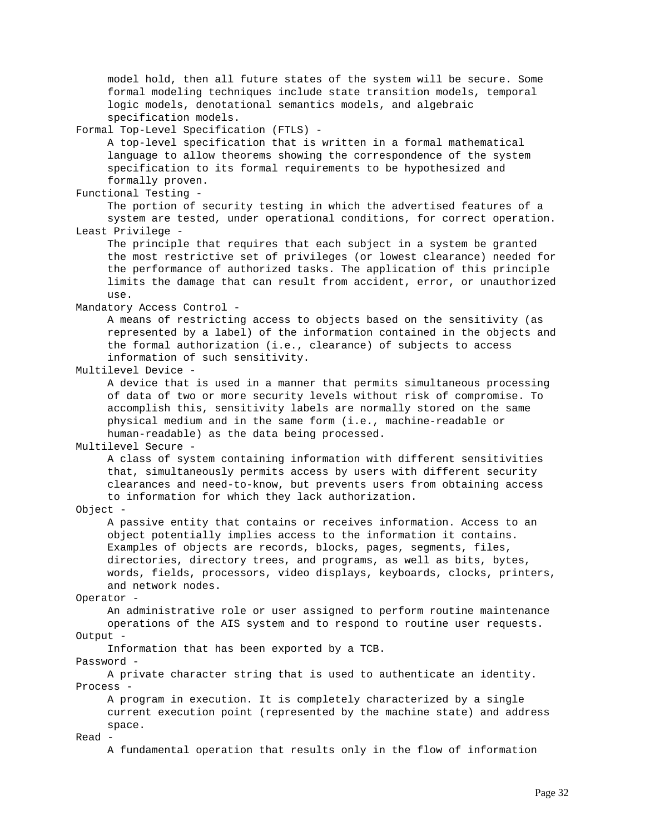model hold, then all future states of the system will be secure. Some formal modeling techniques include state transition models, temporal logic models, denotational semantics models, and algebraic specification models. Formal Top-Level Specification (FTLS) - A top-level specification that is written in a formal mathematical language to allow theorems showing the correspondence of the system specification to its formal requirements to be hypothesized and formally proven. Functional Testing - The portion of security testing in which the advertised features of a system are tested, under operational conditions, for correct operation. Least Privilege - The principle that requires that each subject in a system be granted the most restrictive set of privileges (or lowest clearance) needed for the performance of authorized tasks. The application of this principle limits the damage that can result from accident, error, or unauthorized use. Mandatory Access Control - A means of restricting access to objects based on the sensitivity (as represented by a label) of the information contained in the objects and the formal authorization (i.e., clearance) of subjects to access information of such sensitivity. Multilevel Device - A device that is used in a manner that permits simultaneous processing of data of two or more security levels without risk of compromise. To accomplish this, sensitivity labels are normally stored on the same physical medium and in the same form (i.e., machine-readable or human-readable) as the data being processed. Multilevel Secure - A class of system containing information with different sensitivities that, simultaneously permits access by users with different security clearances and need-to-know, but prevents users from obtaining access to information for which they lack authorization. Object - A passive entity that contains or receives information. Access to an object potentially implies access to the information it contains. Examples of objects are records, blocks, pages, segments, files, directories, directory trees, and programs, as well as bits, bytes, words, fields, processors, video displays, keyboards, clocks, printers, and network nodes. Operator - An administrative role or user assigned to perform routine maintenance operations of the AIS system and to respond to routine user requests. Output - Information that has been exported by a TCB. Password - A private character string that is used to authenticate an identity. Process - A program in execution. It is completely characterized by a single current execution point (represented by the machine state) and address space. Read - A fundamental operation that results only in the flow of information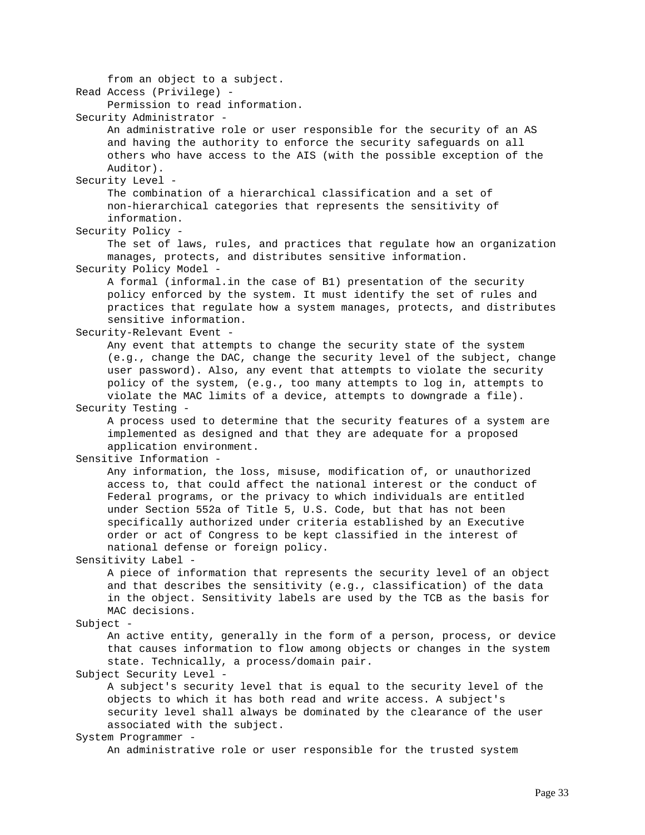from an object to a subject. Read Access (Privilege) - Permission to read information. Security Administrator - An administrative role or user responsible for the security of an AS and having the authority to enforce the security safeguards on all others who have access to the AIS (with the possible exception of the Auditor). Security Level - The combination of a hierarchical classification and a set of non-hierarchical categories that represents the sensitivity of information. Security Policy - The set of laws, rules, and practices that regulate how an organization manages, protects, and distributes sensitive information. Security Policy Model - A formal (informal.in the case of B1) presentation of the security policy enforced by the system. It must identify the set of rules and practices that regulate how a system manages, protects, and distributes sensitive information. Security-Relevant Event - Any event that attempts to change the security state of the system (e.g., change the DAC, change the security level of the subject, change user password). Also, any event that attempts to violate the security policy of the system, (e.g., too many attempts to log in, attempts to violate the MAC limits of a device, attempts to downgrade a file). Security Testing - A process used to determine that the security features of a system are implemented as designed and that they are adequate for a proposed application environment. Sensitive Information - Any information, the loss, misuse, modification of, or unauthorized access to, that could affect the national interest or the conduct of Federal programs, or the privacy to which individuals are entitled under Section 552a of Title 5, U.S. Code, but that has not been specifically authorized under criteria established by an Executive order or act of Congress to be kept classified in the interest of national defense or foreign policy. Sensitivity Label - A piece of information that represents the security level of an object and that describes the sensitivity (e.g., classification) of the data in the object. Sensitivity labels are used by the TCB as the basis for MAC decisions. Subject - An active entity, generally in the form of a person, process, or device that causes information to flow among objects or changes in the system state. Technically, a process/domain pair. Subject Security Level - A subject's security level that is equal to the security level of the objects to which it has both read and write access. A subject's security level shall always be dominated by the clearance of the user associated with the subject. System Programmer -

An administrative role or user responsible for the trusted system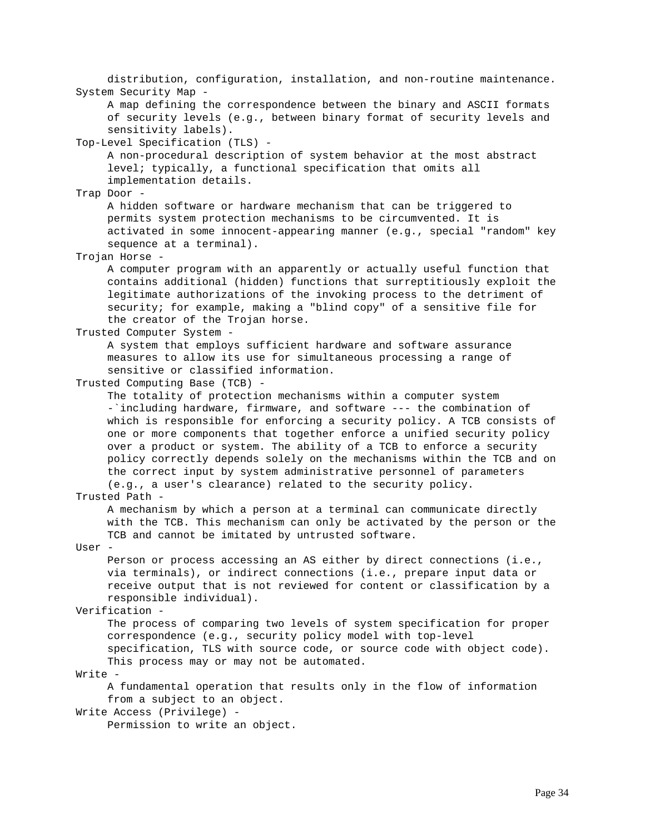distribution, configuration, installation, and non-routine maintenance. System Security Map - A map defining the correspondence between the binary and ASCII formats of security levels (e.g., between binary format of security levels and sensitivity labels). Top-Level Specification (TLS) - A non-procedural description of system behavior at the most abstract level; typically, a functional specification that omits all implementation details. Trap Door - A hidden software or hardware mechanism that can be triggered to permits system protection mechanisms to be circumvented. It is activated in some innocent-appearing manner (e.g., special "random" key sequence at a terminal). Trojan Horse - A computer program with an apparently or actually useful function that contains additional (hidden) functions that surreptitiously exploit the legitimate authorizations of the invoking process to the detriment of security; for example, making a "blind copy" of a sensitive file for the creator of the Trojan horse. Trusted Computer System - A system that employs sufficient hardware and software assurance measures to allow its use for simultaneous processing a range of sensitive or classified information. Trusted Computing Base (TCB) - The totality of protection mechanisms within a computer system -`including hardware, firmware, and software --- the combination of which is responsible for enforcing a security policy. A TCB consists of one or more components that together enforce a unified security policy over a product or system. The ability of a TCB to enforce a security policy correctly depends solely on the mechanisms within the TCB and on the correct input by system administrative personnel of parameters (e.g., a user's clearance) related to the security policy. Trusted Path - A mechanism by which a person at a terminal can communicate directly with the TCB. This mechanism can only be activated by the person or the TCB and cannot be imitated by untrusted software. User - Person or process accessing an AS either by direct connections (i.e., via terminals), or indirect connections (i.e., prepare input data or receive output that is not reviewed for content or classification by a responsible individual). Verification - The process of comparing two levels of system specification for proper correspondence (e.g., security policy model with top-level specification, TLS with source code, or source code with object code). This process may or may not be automated. Write - A fundamental operation that results only in the flow of information from a subject to an object. Write Access (Privilege) - Permission to write an object.